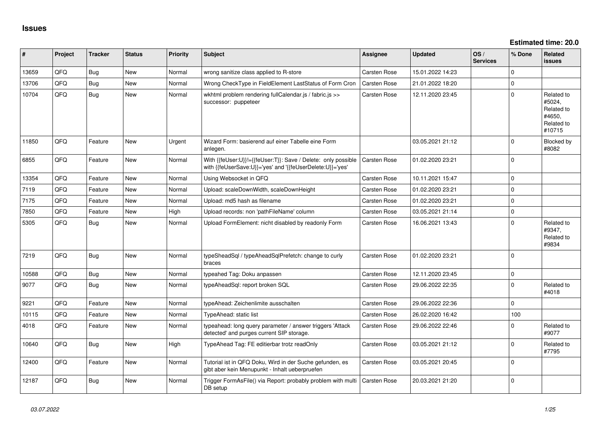**Estimated time: 20.0**

| ∦     | Project | <b>Tracker</b> | <b>Status</b> | <b>Priority</b> | <b>Subject</b>                                                                                                             | <b>Assignee</b> | <b>Updated</b>   | OS/<br><b>Services</b> | % Done      | Related<br><b>issues</b>                                             |
|-------|---------|----------------|---------------|-----------------|----------------------------------------------------------------------------------------------------------------------------|-----------------|------------------|------------------------|-------------|----------------------------------------------------------------------|
| 13659 | QFQ     | Bug            | New           | Normal          | wrong sanitize class applied to R-store                                                                                    | Carsten Rose    | 15.01.2022 14:23 |                        | $\mathbf 0$ |                                                                      |
| 13706 | QFQ     | Bug            | <b>New</b>    | Normal          | Wrong CheckType in FieldElement LastStatus of Form Cron                                                                    | Carsten Rose    | 21.01.2022 18:20 |                        | $\pmb{0}$   |                                                                      |
| 10704 | QFQ     | <b>Bug</b>     | <b>New</b>    | Normal          | wkhtml problem rendering fullCalendar.js / fabric.js >><br>successor: puppeteer                                            | Carsten Rose    | 12.11.2020 23:45 |                        | $\Omega$    | Related to<br>#5024,<br>Related to<br>#4650.<br>Related to<br>#10715 |
| 11850 | QFQ     | Feature        | <b>New</b>    | Urgent          | Wizard Form: basierend auf einer Tabelle eine Form<br>anlegen.                                                             |                 | 03.05.2021 21:12 |                        | $\Omega$    | Blocked by<br>#8082                                                  |
| 6855  | QFQ     | Feature        | <b>New</b>    | Normal          | With {{feUser:U}}!={{feUser:T}}: Save / Delete: only possible<br>with {{feUserSave:U}}='yes' and '{{feUserDelete:U}}='yes' | Carsten Rose    | 01.02.2020 23:21 |                        | $\Omega$    |                                                                      |
| 13354 | QFQ     | Feature        | <b>New</b>    | Normal          | Using Websocket in QFQ                                                                                                     | Carsten Rose    | 10.11.2021 15:47 |                        | $\Omega$    |                                                                      |
| 7119  | QFQ     | Feature        | <b>New</b>    | Normal          | Upload: scaleDownWidth, scaleDownHeight                                                                                    | Carsten Rose    | 01.02.2020 23:21 |                        | $\mathbf 0$ |                                                                      |
| 7175  | QFQ     | Feature        | <b>New</b>    | Normal          | Upload: md5 hash as filename                                                                                               | Carsten Rose    | 01.02.2020 23:21 |                        | $\mathbf 0$ |                                                                      |
| 7850  | QFQ     | Feature        | <b>New</b>    | High            | Upload records: non 'pathFileName' column                                                                                  | Carsten Rose    | 03.05.2021 21:14 |                        | $\pmb{0}$   |                                                                      |
| 5305  | QFQ     | Bug            | <b>New</b>    | Normal          | Upload FormElement: nicht disabled by readonly Form                                                                        | Carsten Rose    | 16.06.2021 13:43 |                        | $\Omega$    | Related to<br>#9347,<br>Related to<br>#9834                          |
| 7219  | QFQ     | <b>Bug</b>     | <b>New</b>    | Normal          | typeSheadSql / typeAheadSqlPrefetch: change to curly<br>braces                                                             | Carsten Rose    | 01.02.2020 23:21 |                        | $\Omega$    |                                                                      |
| 10588 | QFQ     | Bug            | New           | Normal          | typeahed Tag: Doku anpassen                                                                                                | Carsten Rose    | 12.11.2020 23:45 |                        | $\mathbf 0$ |                                                                      |
| 9077  | QFQ     | <b>Bug</b>     | <b>New</b>    | Normal          | typeAheadSql: report broken SQL                                                                                            | Carsten Rose    | 29.06.2022 22:35 |                        | $\mathbf 0$ | Related to<br>#4018                                                  |
| 9221  | QFQ     | Feature        | <b>New</b>    | Normal          | typeAhead: Zeichenlimite ausschalten                                                                                       | Carsten Rose    | 29.06.2022 22:36 |                        | $\mathbf 0$ |                                                                      |
| 10115 | QFQ     | Feature        | <b>New</b>    | Normal          | TypeAhead: static list                                                                                                     | Carsten Rose    | 26.02.2020 16:42 |                        | 100         |                                                                      |
| 4018  | QFQ     | Feature        | New           | Normal          | typeahead: long query parameter / answer triggers 'Attack<br>detected' and purges current SIP storage.                     | Carsten Rose    | 29.06.2022 22:46 |                        | $\Omega$    | Related to<br>#9077                                                  |
| 10640 | QFQ     | <b>Bug</b>     | New           | High            | TypeAhead Tag: FE editierbar trotz readOnly                                                                                | Carsten Rose    | 03.05.2021 21:12 |                        | $\mathbf 0$ | Related to<br>#7795                                                  |
| 12400 | QFQ     | Feature        | New           | Normal          | Tutorial ist in QFQ Doku, Wird in der Suche gefunden, es<br>gibt aber kein Menupunkt - Inhalt ueberpruefen                 | Carsten Rose    | 03.05.2021 20:45 |                        | $\Omega$    |                                                                      |
| 12187 | QFQ     | Bug            | New           | Normal          | Trigger FormAsFile() via Report: probably problem with multi<br>DB setup                                                   | Carsten Rose    | 20.03.2021 21:20 |                        | $\mathbf 0$ |                                                                      |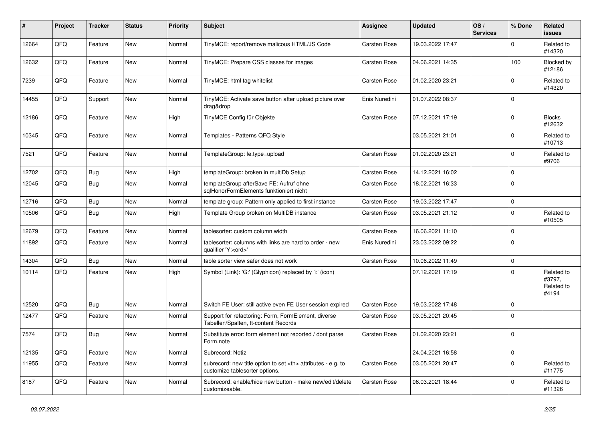| #     | Project | <b>Tracker</b> | <b>Status</b> | <b>Priority</b> | <b>Subject</b>                                                                                       | Assignee                                               | <b>Updated</b>   | OS/<br><b>Services</b> | % Done      | Related<br>issues                           |                      |
|-------|---------|----------------|---------------|-----------------|------------------------------------------------------------------------------------------------------|--------------------------------------------------------|------------------|------------------------|-------------|---------------------------------------------|----------------------|
| 12664 | QFQ     | Feature        | New           | Normal          | TinyMCE: report/remove malicous HTML/JS Code                                                         | Carsten Rose                                           | 19.03.2022 17:47 |                        | 0           | Related to<br>#14320                        |                      |
| 12632 | QFQ     | Feature        | New           | Normal          | TinyMCE: Prepare CSS classes for images                                                              | Carsten Rose                                           | 04.06.2021 14:35 |                        | 100         | Blocked by<br>#12186                        |                      |
| 7239  | QFQ     | Feature        | <b>New</b>    | Normal          | TinyMCE: html tag whitelist                                                                          | Carsten Rose                                           | 01.02.2020 23:21 |                        | 0           | Related to<br>#14320                        |                      |
| 14455 | QFQ     | Support        | <b>New</b>    | Normal          | TinyMCE: Activate save button after upload picture over<br>drag&drop                                 | Enis Nuredini                                          | 01.07.2022 08:37 |                        | 0           |                                             |                      |
| 12186 | QFQ     | Feature        | <b>New</b>    | High            | TinyMCE Config für Objekte                                                                           | Carsten Rose                                           | 07.12.2021 17:19 |                        | $\mathbf 0$ | <b>Blocks</b><br>#12632                     |                      |
| 10345 | QFQ     | Feature        | New           | Normal          | Templates - Patterns QFQ Style                                                                       |                                                        | 03.05.2021 21:01 |                        | 0           | Related to<br>#10713                        |                      |
| 7521  | QFQ     | Feature        | New           | Normal          | TemplateGroup: fe.type=upload                                                                        | Carsten Rose                                           | 01.02.2020 23:21 |                        | $\mathbf 0$ | Related to<br>#9706                         |                      |
| 12702 | QFQ     | Bug            | New           | High            | templateGroup: broken in multiDb Setup                                                               | Carsten Rose                                           | 14.12.2021 16:02 |                        | 0           |                                             |                      |
| 12045 | QFQ     | Bug            | <b>New</b>    | Normal          | templateGroup afterSave FE: Aufruf ohne<br>sqlHonorFormElements funktioniert nicht                   | Carsten Rose                                           | 18.02.2021 16:33 |                        | $\mathbf 0$ |                                             |                      |
| 12716 | QFQ     | Bug            | <b>New</b>    | Normal          | template group: Pattern only applied to first instance                                               | Carsten Rose                                           | 19.03.2022 17:47 |                        | 0           |                                             |                      |
| 10506 | QFQ     | Bug            | <b>New</b>    | High            | Template Group broken on MultiDB instance                                                            | Carsten Rose                                           | 03.05.2021 21:12 |                        | $\mathbf 0$ | Related to<br>#10505                        |                      |
| 12679 | QFQ     | Feature        | <b>New</b>    | Normal          | tablesorter: custom column width                                                                     | Carsten Rose                                           | 16.06.2021 11:10 |                        | $\mathbf 0$ |                                             |                      |
| 11892 | QFQ     | Feature        | New           | Normal          | tablesorter: columns with links are hard to order - new<br>qualifier 'Y: <ord>'</ord>                | Enis Nuredini                                          | 23.03.2022 09:22 |                        | $\mathbf 0$ |                                             |                      |
| 14304 | QFQ     | Bug            | <b>New</b>    | Normal          | table sorter view safer does not work                                                                | Carsten Rose                                           | 10.06.2022 11:49 |                        | $\pmb{0}$   |                                             |                      |
| 10114 | QFQ     | Feature        | New           | High            | Symbol (Link): 'G:' (Glyphicon) replaced by 'i:' (icon)                                              |                                                        | 07.12.2021 17:19 |                        | $\mathbf 0$ | Related to<br>#3797,<br>Related to<br>#4194 |                      |
| 12520 | QFQ     | Bug            | <b>New</b>    | Normal          | Switch FE User: still active even FE User session expired                                            | Carsten Rose                                           | 19.03.2022 17:48 |                        | $\mathbf 0$ |                                             |                      |
| 12477 | QFQ     | Feature        | <b>New</b>    | Normal          | Support for refactoring: Form, FormElement, diverse<br>Tabellen/Spalten, tt-content Records          | Carsten Rose                                           | 03.05.2021 20:45 |                        | $\Omega$    |                                             |                      |
| 7574  | QFQ     | Bug            | <b>New</b>    | Normal          | Substitute error: form element not reported / dont parse<br>Form.note                                | Carsten Rose                                           | 01.02.2020 23:21 |                        | $\mathbf 0$ |                                             |                      |
| 12135 | QFQ     | Feature        | <b>New</b>    | Normal          | Subrecord: Notiz                                                                                     |                                                        | 24.04.2021 16:58 |                        | $\pmb{0}$   |                                             |                      |
| 11955 | QFQ     | Feature        | New           | Normal          | subrecord: new title option to set <th> attributes - e.g. to<br/>customize tablesorter options.</th> | attributes - e.g. to<br>customize tablesorter options. | Carsten Rose     | 03.05.2021 20:47       |             | $\mathbf 0$                                 | Related to<br>#11775 |
| 8187  | QFQ     | Feature        | New           | Normal          | Subrecord: enable/hide new button - make new/edit/delete<br>customizeable.                           | Carsten Rose                                           | 06.03.2021 18:44 |                        | $\mathbf 0$ | Related to<br>#11326                        |                      |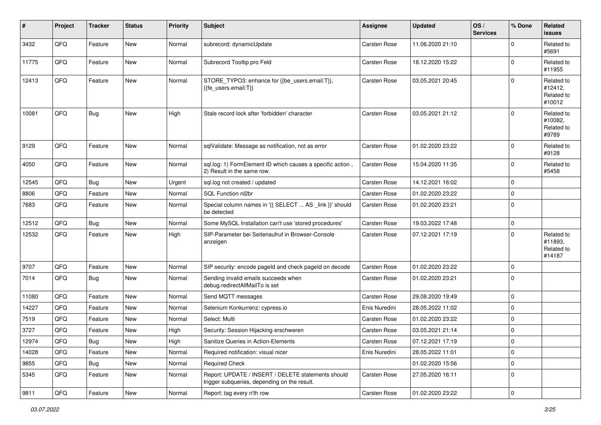| #     | Project | <b>Tracker</b> | <b>Status</b> | <b>Priority</b> | Subject                                                                                            | Assignee            | <b>Updated</b>   | OS/<br><b>Services</b> | % Done      | <b>Related</b><br>issues                      |
|-------|---------|----------------|---------------|-----------------|----------------------------------------------------------------------------------------------------|---------------------|------------------|------------------------|-------------|-----------------------------------------------|
| 3432  | QFQ     | Feature        | New           | Normal          | subrecord: dynamicUpdate                                                                           | Carsten Rose        | 11.06.2020 21:10 |                        | $\Omega$    | Related to<br>#5691                           |
| 11775 | QFQ     | Feature        | New           | Normal          | Subrecord Tooltip pro Feld                                                                         | Carsten Rose        | 18.12.2020 15:22 |                        | $\Omega$    | Related to<br>#11955                          |
| 12413 | QFQ     | Feature        | <b>New</b>    | Normal          | STORE_TYPO3: enhance for {{be_users.email:T}},<br>{{fe_users.email:T}}                             | Carsten Rose        | 03.05.2021 20:45 |                        | $\Omega$    | Related to<br>#12412,<br>Related to<br>#10012 |
| 10081 | QFQ     | <b>Bug</b>     | New           | High            | Stale record lock after 'forbidden' character                                                      | Carsten Rose        | 03.05.2021 21:12 |                        | $\Omega$    | Related to<br>#10082.<br>Related to<br>#9789  |
| 9129  | QFQ     | Feature        | <b>New</b>    | Normal          | sqlValidate: Message as notification, not as error                                                 | Carsten Rose        | 01.02.2020 23:22 |                        | $\mathbf 0$ | Related to<br>#9128                           |
| 4050  | QFQ     | Feature        | <b>New</b>    | Normal          | sql.log: 1) FormElement ID which causes a specific action,<br>2) Result in the same row.           | Carsten Rose        | 15.04.2020 11:35 |                        | $\Omega$    | Related to<br>#5458                           |
| 12545 | QFQ     | Bug            | <b>New</b>    | Urgent          | sql.log not created / updated                                                                      | Carsten Rose        | 14.12.2021 16:02 |                        | $\mathbf 0$ |                                               |
| 8806  | QFQ     | Feature        | New           | Normal          | SQL Function nl2br                                                                                 | Carsten Rose        | 01.02.2020 23:22 |                        | $\mathbf 0$ |                                               |
| 7683  | QFQ     | Feature        | New           | Normal          | Special column names in '{{ SELECT  AS _link }}' should<br>be detected                             | Carsten Rose        | 01.02.2020 23:21 |                        | $\Omega$    |                                               |
| 12512 | QFQ     | Bug            | <b>New</b>    | Normal          | Some MySQL Installation can't use 'stored procedures'                                              | Carsten Rose        | 19.03.2022 17:48 |                        | $\mathbf 0$ |                                               |
| 12532 | QFQ     | Feature        | New           | High            | SIP-Parameter bei Seitenaufruf in Browser-Console<br>anzeigen                                      | Carsten Rose        | 07.12.2021 17:19 |                        | $\Omega$    | Related to<br>#11893.<br>Related to<br>#14187 |
| 9707  | QFQ     | Feature        | <b>New</b>    | Normal          | SIP security: encode pageld and check pageld on decode                                             | <b>Carsten Rose</b> | 01.02.2020 23:22 |                        | $\mathbf 0$ |                                               |
| 7014  | QFQ     | Bug            | New           | Normal          | Sending invalid emails succeeds when<br>debug.redirectAllMailTo is set                             | Carsten Rose        | 01.02.2020 23:21 |                        | $\Omega$    |                                               |
| 11080 | QFQ     | Feature        | New           | Normal          | Send MQTT messages                                                                                 | Carsten Rose        | 29.08.2020 19:49 |                        | $\mathbf 0$ |                                               |
| 14227 | QFQ     | Feature        | <b>New</b>    | Normal          | Selenium Konkurrenz: cypress.io                                                                    | Enis Nuredini       | 28.05.2022 11:02 |                        | $\Omega$    |                                               |
| 7519  | QFQ     | Feature        | New           | Normal          | Select: Multi                                                                                      | Carsten Rose        | 01.02.2020 23:22 |                        | $\mathbf 0$ |                                               |
| 3727  | QFQ     | Feature        | New           | High            | Security: Session Hijacking erschweren                                                             | Carsten Rose        | 03.05.2021 21:14 |                        | $\mathbf 0$ |                                               |
| 12974 | QFQ     | Bug            | New           | High            | Sanitize Queries in Action-Elements                                                                | <b>Carsten Rose</b> | 07.12.2021 17:19 |                        | 0           |                                               |
| 14028 | QFQ     | Feature        | New           | Normal          | Required notification: visual nicer                                                                | Enis Nuredini       | 28.05.2022 11:01 |                        | $\mathbf 0$ |                                               |
| 9855  | QFQ     | Bug            | New           | Normal          | <b>Required Check</b>                                                                              |                     | 01.02.2020 15:56 |                        | 0           |                                               |
| 5345  | QFQ     | Feature        | New           | Normal          | Report: UPDATE / INSERT / DELETE statements should<br>trigger subqueries, depending on the result. | Carsten Rose        | 27.05.2020 16:11 |                        | $\mathbf 0$ |                                               |
| 9811  | QFQ     | Feature        | New           | Normal          | Report: tag every n'th row                                                                         | Carsten Rose        | 01.02.2020 23:22 |                        | $\pmb{0}$   |                                               |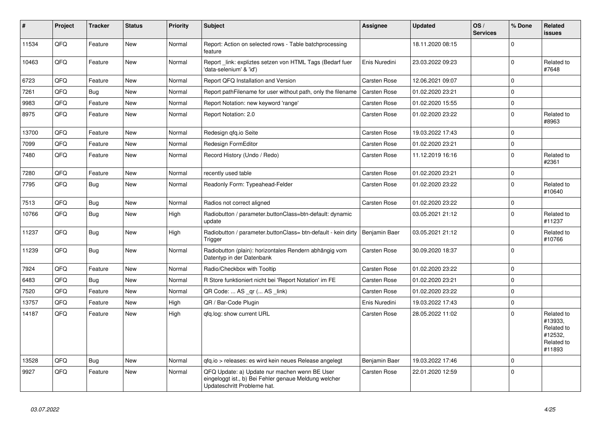| #     | Project | <b>Tracker</b> | <b>Status</b> | <b>Priority</b> | <b>Subject</b>                                                                                                                        | <b>Assignee</b>     | <b>Updated</b>   | OS/<br><b>Services</b> | % Done      | Related<br><b>issues</b>                                               |
|-------|---------|----------------|---------------|-----------------|---------------------------------------------------------------------------------------------------------------------------------------|---------------------|------------------|------------------------|-------------|------------------------------------------------------------------------|
| 11534 | QFQ     | Feature        | <b>New</b>    | Normal          | Report: Action on selected rows - Table batchprocessing<br>feature                                                                    |                     | 18.11.2020 08:15 |                        | $\Omega$    |                                                                        |
| 10463 | QFQ     | Feature        | <b>New</b>    | Normal          | Report link: expliztes setzen von HTML Tags (Bedarf fuer<br>'data-selenium' & 'id')                                                   | Enis Nuredini       | 23.03.2022 09:23 |                        | $\mathbf 0$ | Related to<br>#7648                                                    |
| 6723  | QFQ     | Feature        | <b>New</b>    | Normal          | Report QFQ Installation and Version                                                                                                   | <b>Carsten Rose</b> | 12.06.2021 09:07 |                        | $\mathbf 0$ |                                                                        |
| 7261  | QFQ     | Bug            | <b>New</b>    | Normal          | Report pathFilename for user without path, only the filename                                                                          | <b>Carsten Rose</b> | 01.02.2020 23:21 |                        | $\mathbf 0$ |                                                                        |
| 9983  | QFQ     | Feature        | New           | Normal          | Report Notation: new keyword 'range'                                                                                                  | Carsten Rose        | 01.02.2020 15:55 |                        | $\mathbf 0$ |                                                                        |
| 8975  | QFQ     | Feature        | <b>New</b>    | Normal          | Report Notation: 2.0                                                                                                                  | <b>Carsten Rose</b> | 01.02.2020 23:22 |                        | $\pmb{0}$   | Related to<br>#8963                                                    |
| 13700 | QFQ     | Feature        | New           | Normal          | Redesign qfq.io Seite                                                                                                                 | <b>Carsten Rose</b> | 19.03.2022 17:43 |                        | $\mathbf 0$ |                                                                        |
| 7099  | QFQ     | Feature        | New           | Normal          | Redesign FormEditor                                                                                                                   | Carsten Rose        | 01.02.2020 23:21 |                        | $\pmb{0}$   |                                                                        |
| 7480  | QFQ     | Feature        | <b>New</b>    | Normal          | Record History (Undo / Redo)                                                                                                          | Carsten Rose        | 11.12.2019 16:16 |                        | $\mathbf 0$ | Related to<br>#2361                                                    |
| 7280  | QFQ     | Feature        | <b>New</b>    | Normal          | recently used table                                                                                                                   | <b>Carsten Rose</b> | 01.02.2020 23:21 |                        | $\mathbf 0$ |                                                                        |
| 7795  | QFQ     | <b>Bug</b>     | New           | Normal          | Readonly Form: Typeahead-Felder                                                                                                       | <b>Carsten Rose</b> | 01.02.2020 23:22 |                        | $\Omega$    | Related to<br>#10640                                                   |
| 7513  | QFQ     | <b>Bug</b>     | <b>New</b>    | Normal          | Radios not correct aligned                                                                                                            | Carsten Rose        | 01.02.2020 23:22 |                        | $\mathbf 0$ |                                                                        |
| 10766 | QFQ     | Bug            | New           | High            | Radiobutton / parameter.buttonClass=btn-default: dynamic<br>update                                                                    |                     | 03.05.2021 21:12 |                        | $\mathbf 0$ | Related to<br>#11237                                                   |
| 11237 | QFQ     | <b>Bug</b>     | <b>New</b>    | High            | Radiobutton / parameter.buttonClass= btn-default - kein dirty<br>Trigger                                                              | Benjamin Baer       | 03.05.2021 21:12 |                        | $\mathbf 0$ | Related to<br>#10766                                                   |
| 11239 | QFQ     | Bug            | <b>New</b>    | Normal          | Radiobutton (plain): horizontales Rendern abhängig vom<br>Datentyp in der Datenbank                                                   | Carsten Rose        | 30.09.2020 18:37 |                        | $\pmb{0}$   |                                                                        |
| 7924  | QFQ     | Feature        | New           | Normal          | Radio/Checkbox with Tooltip                                                                                                           | <b>Carsten Rose</b> | 01.02.2020 23:22 |                        | $\mathbf 0$ |                                                                        |
| 6483  | QFQ     | Bug            | <b>New</b>    | Normal          | R Store funktioniert nicht bei 'Report Notation' im FE                                                                                | <b>Carsten Rose</b> | 01.02.2020 23:21 |                        | $\mathbf 0$ |                                                                        |
| 7520  | QFQ     | Feature        | New           | Normal          | QR Code:  AS _qr ( AS _link)                                                                                                          | <b>Carsten Rose</b> | 01.02.2020 23:22 |                        | $\mathbf 0$ |                                                                        |
| 13757 | QFQ     | Feature        | <b>New</b>    | High            | QR / Bar-Code Plugin                                                                                                                  | Enis Nuredini       | 19.03.2022 17:43 |                        | $\pmb{0}$   |                                                                        |
| 14187 | QFQ     | Feature        | New           | High            | qfq.log: show current URL                                                                                                             | Carsten Rose        | 28.05.2022 11:02 |                        | $\Omega$    | Related to<br>#13933,<br>Related to<br>#12532,<br>Related to<br>#11893 |
| 13528 | QFQ     | Bug            | <b>New</b>    | Normal          | qfq.io > releases: es wird kein neues Release angelegt                                                                                | Benjamin Baer       | 19.03.2022 17:46 |                        | $\Omega$    |                                                                        |
| 9927  | QFQ     | Feature        | <b>New</b>    | Normal          | QFQ Update: a) Update nur machen wenn BE User<br>eingeloggt ist., b) Bei Fehler genaue Meldung welcher<br>Updateschritt Probleme hat. | <b>Carsten Rose</b> | 22.01.2020 12:59 |                        | $\Omega$    |                                                                        |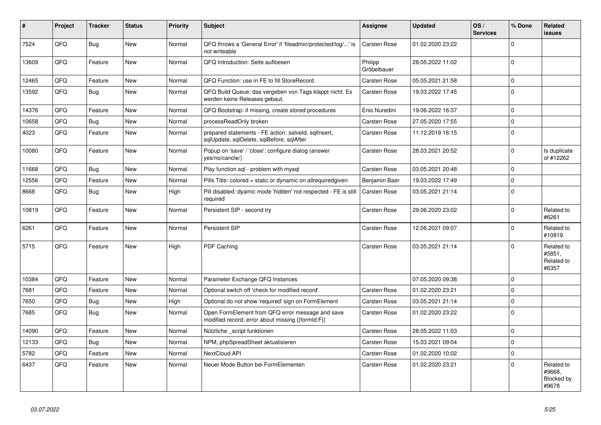| $\vert$ # | <b>Project</b> | <b>Tracker</b> | <b>Status</b> | <b>Priority</b> | <b>Subject</b>                                                                                        | <b>Assignee</b>        | <b>Updated</b>   | OS/<br><b>Services</b> | % Done       | Related<br>issues                           |
|-----------|----------------|----------------|---------------|-----------------|-------------------------------------------------------------------------------------------------------|------------------------|------------------|------------------------|--------------|---------------------------------------------|
| 7524      | QFQ            | <b>Bug</b>     | <b>New</b>    | Normal          | QFQ throws a 'General Error' if 'fileadmin/protected/log/' is<br>not writeable                        | Carsten Rose           | 01.02.2020 23:22 |                        | $\Omega$     |                                             |
| 13609     | QFQ            | Feature        | <b>New</b>    | Normal          | QFQ Introduction: Seite aufloesen                                                                     | Philipp<br>Gröbelbauer | 28.05.2022 11:02 |                        | $\pmb{0}$    |                                             |
| 12465     | QFQ            | Feature        | New           | Normal          | QFQ Function: use in FE to fill StoreRecord                                                           | Carsten Rose           | 05.05.2021 21:58 |                        | 0            |                                             |
| 13592     | QFQ            | <b>Bug</b>     | New           | Normal          | QFQ Build Queue: das vergeben von Tags klappt nicht. Es<br>werden keine Releases gebaut.              | Carsten Rose           | 19.03.2022 17:45 |                        | 0            |                                             |
| 14376     | QFQ            | Feature        | New           | Normal          | QFQ Bootstrap: if missing, create stored procedures                                                   | Enis Nuredini          | 19.06.2022 16:37 |                        | 0            |                                             |
| 10658     | QFQ            | <b>Bug</b>     | New           | Normal          | processReadOnly broken                                                                                | Carsten Rose           | 27.05.2020 17:55 |                        | 0            |                                             |
| 4023      | QFQ            | Feature        | New           | Normal          | prepared statements - FE action: salveld, sqlInsert,<br>sqlUpdate, sqlDelete, sqlBefore, sqlAfter     | Carsten Rose           | 11.12.2019 16:15 |                        | $\pmb{0}$    |                                             |
| 10080     | QFQ            | Feature        | New           | Normal          | Popup on 'save' / 'close': configure dialog (answer<br>yes/no/cancle/)                                | Carsten Rose           | 28.03.2021 20:52 |                        | 0            | Is duplicate<br>of #12262                   |
| 11668     | QFQ            | <b>Bug</b>     | <b>New</b>    | Normal          | Play function.sgl - problem with mysgl                                                                | Carsten Rose           | 03.05.2021 20:48 |                        | 0            |                                             |
| 12556     | QFQ            | Feature        | <b>New</b>    | Normal          | Pills Title: colored = static or dynamic on allrequiredgiven                                          | Benjamin Baer          | 19.03.2022 17:49 |                        | $\pmb{0}$    |                                             |
| 8668      | QFQ            | <b>Bug</b>     | <b>New</b>    | High            | Pill disabled: dyamic mode 'hidden' not respected - FE is still<br>required                           | Carsten Rose           | 03.05.2021 21:14 |                        | $\pmb{0}$    |                                             |
| 10819     | QFQ            | Feature        | <b>New</b>    | Normal          | Persistent SIP - second try                                                                           | Carsten Rose           | 29.06.2020 23:02 |                        | $\mathbf{0}$ | Related to<br>#6261                         |
| 6261      | QFQ            | Feature        | <b>New</b>    | Normal          | Persistent SIP                                                                                        | Carsten Rose           | 12.06.2021 09:07 |                        | $\Omega$     | Related to<br>#10819                        |
| 5715      | QFQ            | Feature        | <b>New</b>    | High            | PDF Caching                                                                                           | Carsten Rose           | 03.05.2021 21:14 |                        | $\Omega$     | Related to<br>#5851,<br>Related to<br>#6357 |
| 10384     | QFQ            | Feature        | <b>New</b>    | Normal          | Parameter Exchange QFQ Instances                                                                      |                        | 07.05.2020 09:38 |                        | $\mathbf{0}$ |                                             |
| 7681      | QFQ            | Feature        | <b>New</b>    | Normal          | Optional switch off 'check for modified record'                                                       | Carsten Rose           | 01.02.2020 23:21 |                        | 0            |                                             |
| 7650      | QFQ            | Bug            | <b>New</b>    | High            | Optional do not show 'required' sign on FormElement                                                   | Carsten Rose           | 03.05.2021 21:14 |                        | $\mathbf 0$  |                                             |
| 7685      | QFQ            | <b>Bug</b>     | <b>New</b>    | Normal          | Open FormElement from QFQ error message and save<br>modified record: error about missing {{formId:F}} | Carsten Rose           | 01.02.2020 23:22 |                        | $\pmb{0}$    |                                             |
| 14090     | QFQ            | Feature        | <b>New</b>    | Normal          | Nützliche script funktionen                                                                           | Carsten Rose           | 28.05.2022 11:03 |                        | $\pmb{0}$    |                                             |
| 12133     | QFQ            | Bug            | New           | Normal          | NPM, phpSpreadSheet aktualisieren                                                                     | Carsten Rose           | 15.03.2021 09:04 |                        | 0            |                                             |
| 5782      | QFQ            | Feature        | <b>New</b>    | Normal          | NextCloud API                                                                                         | Carsten Rose           | 01.02.2020 10:02 |                        | $\mathbf 0$  |                                             |
| 6437      | QFQ            | Feature        | <b>New</b>    | Normal          | Neuer Mode Button bei FormElementen                                                                   | Carsten Rose           | 01.02.2020 23:21 |                        | 0            | Related to<br>#9668,<br>Blocked by<br>#9678 |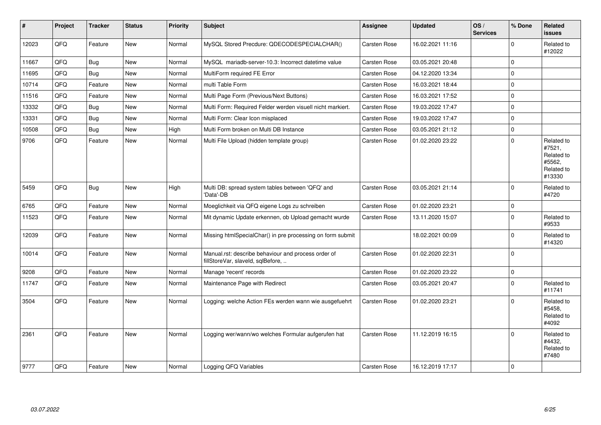| $\sharp$ | Project | <b>Tracker</b> | <b>Status</b> | <b>Priority</b> | <b>Subject</b>                                                                           | Assignee            | <b>Updated</b>   | OS/<br><b>Services</b> | % Done       | Related<br><b>issues</b>                                             |
|----------|---------|----------------|---------------|-----------------|------------------------------------------------------------------------------------------|---------------------|------------------|------------------------|--------------|----------------------------------------------------------------------|
| 12023    | QFQ     | Feature        | <b>New</b>    | Normal          | MySQL Stored Precdure: QDECODESPECIALCHAR()                                              | Carsten Rose        | 16.02.2021 11:16 |                        | 0            | Related to<br>#12022                                                 |
| 11667    | QFQ     | <b>Bug</b>     | <b>New</b>    | Normal          | MySQL mariadb-server-10.3: Incorrect datetime value                                      | Carsten Rose        | 03.05.2021 20:48 |                        | 0            |                                                                      |
| 11695    | QFQ     | Bug            | <b>New</b>    | Normal          | MultiForm required FE Error                                                              | Carsten Rose        | 04.12.2020 13:34 |                        | 0            |                                                                      |
| 10714    | QFQ     | Feature        | <b>New</b>    | Normal          | multi Table Form                                                                         | Carsten Rose        | 16.03.2021 18:44 |                        | $\mathbf{0}$ |                                                                      |
| 11516    | QFQ     | Feature        | New           | Normal          | Multi Page Form (Previous/Next Buttons)                                                  | Carsten Rose        | 16.03.2021 17:52 |                        | $\pmb{0}$    |                                                                      |
| 13332    | QFQ     | Bug            | New           | Normal          | Multi Form: Required Felder werden visuell nicht markiert.                               | Carsten Rose        | 19.03.2022 17:47 |                        | 0            |                                                                      |
| 13331    | QFQ     | Bug            | <b>New</b>    | Normal          | Multi Form: Clear Icon misplaced                                                         | Carsten Rose        | 19.03.2022 17:47 |                        | $\pmb{0}$    |                                                                      |
| 10508    | QFQ     | <b>Bug</b>     | <b>New</b>    | High            | Multi Form broken on Multi DB Instance                                                   | Carsten Rose        | 03.05.2021 21:12 |                        | $\pmb{0}$    |                                                                      |
| 9706     | QFQ     | Feature        | New           | Normal          | Multi File Upload (hidden template group)                                                | Carsten Rose        | 01.02.2020 23:22 |                        | $\mathbf 0$  | Related to<br>#7521,<br>Related to<br>#5562,<br>Related to<br>#13330 |
| 5459     | QFQ     | <b>Bug</b>     | <b>New</b>    | High            | Multi DB: spread system tables between 'QFQ' and<br>'Data'-DB                            | Carsten Rose        | 03.05.2021 21:14 |                        | $\mathbf{0}$ | Related to<br>#4720                                                  |
| 6765     | QFQ     | Feature        | <b>New</b>    | Normal          | Moeglichkeit via QFQ eigene Logs zu schreiben                                            | Carsten Rose        | 01.02.2020 23:21 |                        | 0            |                                                                      |
| 11523    | QFQ     | Feature        | New           | Normal          | Mit dynamic Update erkennen, ob Upload gemacht wurde                                     | Carsten Rose        | 13.11.2020 15:07 |                        | $\mathbf{0}$ | Related to<br>#9533                                                  |
| 12039    | QFQ     | Feature        | <b>New</b>    | Normal          | Missing htmlSpecialChar() in pre processing on form submit                               |                     | 18.02.2021 00:09 |                        | $\mathbf{0}$ | Related to<br>#14320                                                 |
| 10014    | QFQ     | Feature        | <b>New</b>    | Normal          | Manual.rst: describe behaviour and process order of<br>fillStoreVar, slaveId, sqlBefore, | Carsten Rose        | 01.02.2020 22:31 |                        | $\pmb{0}$    |                                                                      |
| 9208     | QFQ     | Feature        | <b>New</b>    | Normal          | Manage 'recent' records                                                                  | Carsten Rose        | 01.02.2020 23:22 |                        | 0            |                                                                      |
| 11747    | QFQ     | Feature        | New           | Normal          | Maintenance Page with Redirect                                                           | Carsten Rose        | 03.05.2021 20:47 |                        | $\mathbf{0}$ | Related to<br>#11741                                                 |
| 3504     | QFQ     | Feature        | <b>New</b>    | Normal          | Logging: welche Action FEs werden wann wie ausgefuehrt                                   | Carsten Rose        | 01.02.2020 23:21 |                        | $\mathbf 0$  | Related to<br>#5458.<br>Related to<br>#4092                          |
| 2361     | QFQ     | Feature        | New           | Normal          | Logging wer/wann/wo welches Formular aufgerufen hat                                      | Carsten Rose        | 11.12.2019 16:15 |                        | $\mathbf 0$  | Related to<br>#4432,<br>Related to<br>#7480                          |
| 9777     | QFQ     | Feature        | New           | Normal          | Logging QFQ Variables                                                                    | <b>Carsten Rose</b> | 16.12.2019 17:17 |                        | $\pmb{0}$    |                                                                      |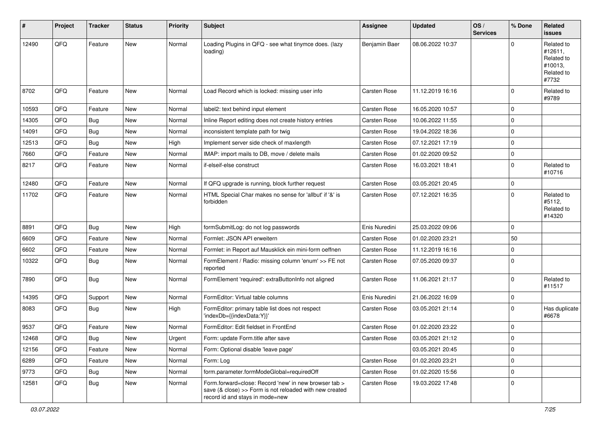| #     | Project | <b>Tracker</b> | <b>Status</b> | <b>Priority</b> | <b>Subject</b>                                                                                                                                      | Assignee            | <b>Updated</b>   | OS/<br><b>Services</b> | % Done       | Related<br>issues                                                     |
|-------|---------|----------------|---------------|-----------------|-----------------------------------------------------------------------------------------------------------------------------------------------------|---------------------|------------------|------------------------|--------------|-----------------------------------------------------------------------|
| 12490 | QFQ     | Feature        | New           | Normal          | Loading Plugins in QFQ - see what tinymce does. (lazy<br>loading)                                                                                   | Benjamin Baer       | 08.06.2022 10:37 |                        | 0            | Related to<br>#12611,<br>Related to<br>#10013,<br>Related to<br>#7732 |
| 8702  | QFQ     | Feature        | New           | Normal          | Load Record which is locked: missing user info                                                                                                      | <b>Carsten Rose</b> | 11.12.2019 16:16 |                        | 0            | Related to<br>#9789                                                   |
| 10593 | QFQ     | Feature        | <b>New</b>    | Normal          | label2: text behind input element                                                                                                                   | Carsten Rose        | 16.05.2020 10:57 |                        | $\mathbf 0$  |                                                                       |
| 14305 | QFQ     | Bug            | New           | Normal          | Inline Report editing does not create history entries                                                                                               | Carsten Rose        | 10.06.2022 11:55 |                        | $\mathbf 0$  |                                                                       |
| 14091 | QFQ     | Bug            | New           | Normal          | inconsistent template path for twig                                                                                                                 | Carsten Rose        | 19.04.2022 18:36 |                        | 0            |                                                                       |
| 12513 | QFQ     | Bug            | <b>New</b>    | High            | Implement server side check of maxlength                                                                                                            | Carsten Rose        | 07.12.2021 17:19 |                        | $\mathbf 0$  |                                                                       |
| 7660  | QFQ     | Feature        | New           | Normal          | IMAP: import mails to DB, move / delete mails                                                                                                       | Carsten Rose        | 01.02.2020 09:52 |                        | $\pmb{0}$    |                                                                       |
| 8217  | QFQ     | Feature        | New           | Normal          | if-elseif-else construct                                                                                                                            | Carsten Rose        | 16.03.2021 18:41 |                        | $\mathbf 0$  | Related to<br>#10716                                                  |
| 12480 | QFQ     | Feature        | New           | Normal          | If QFQ upgrade is running, block further request                                                                                                    | Carsten Rose        | 03.05.2021 20:45 |                        | $\mathbf 0$  |                                                                       |
| 11702 | QFQ     | Feature        | New           | Normal          | HTML Special Char makes no sense for 'allbut' if '&' is<br>forbidden                                                                                | Carsten Rose        | 07.12.2021 16:35 |                        | $\mathbf 0$  | Related to<br>#5112,<br>Related to<br>#14320                          |
| 8891  | QFQ     | <b>Bug</b>     | New           | High            | formSubmitLog: do not log passwords                                                                                                                 | Enis Nuredini       | 25.03.2022 09:06 |                        | $\mathbf 0$  |                                                                       |
| 6609  | QFQ     | Feature        | <b>New</b>    | Normal          | Formlet: JSON API erweitern                                                                                                                         | Carsten Rose        | 01.02.2020 23:21 |                        | 50           |                                                                       |
| 6602  | QFQ     | Feature        | <b>New</b>    | Normal          | Formlet: in Report auf Mausklick ein mini-form oeffnen                                                                                              | Carsten Rose        | 11.12.2019 16:16 |                        | $\mathbf 0$  |                                                                       |
| 10322 | QFQ     | <b>Bug</b>     | New           | Normal          | FormElement / Radio: missing column 'enum' >> FE not<br>reported                                                                                    | Carsten Rose        | 07.05.2020 09:37 |                        | $\mathbf 0$  |                                                                       |
| 7890  | QFQ     | Bug            | New           | Normal          | FormElement 'required': extraButtonInfo not aligned                                                                                                 | Carsten Rose        | 11.06.2021 21:17 |                        | $\mathbf 0$  | Related to<br>#11517                                                  |
| 14395 | QFQ     | Support        | <b>New</b>    | Normal          | FormEditor: Virtual table columns                                                                                                                   | Enis Nuredini       | 21.06.2022 16:09 |                        | $\mathbf 0$  |                                                                       |
| 8083  | QFQ     | Bug            | New           | High            | FormEditor: primary table list does not respect<br>'indexDb={{indexData:Y}}'                                                                        | Carsten Rose        | 03.05.2021 21:14 |                        | $\mathbf 0$  | Has duplicate<br>#6678                                                |
| 9537  | QFQ     | Feature        | New           | Normal          | FormEditor: Edit fieldset in FrontEnd                                                                                                               | Carsten Rose        | 01.02.2020 23:22 |                        | $\mathbf 0$  |                                                                       |
| 12468 | QFQ     | <b>Bug</b>     | New           | Urgent          | Form: update Form.title after save                                                                                                                  | Carsten Rose        | 03.05.2021 21:12 |                        | $\mathbf{0}$ |                                                                       |
| 12156 | QFQ     | Feature        | New           | Normal          | Form: Optional disable 'leave page'                                                                                                                 |                     | 03.05.2021 20:45 |                        | $\mathbf 0$  |                                                                       |
| 6289  | QFQ     | Feature        | New           | Normal          | Form: Log                                                                                                                                           | Carsten Rose        | 01.02.2020 23:21 |                        | $\pmb{0}$    |                                                                       |
| 9773  | QFQ     | Bug            | New           | Normal          | form.parameter.formModeGlobal=requiredOff                                                                                                           | Carsten Rose        | 01.02.2020 15:56 |                        | $\mathbf 0$  |                                                                       |
| 12581 | QFQ     | <b>Bug</b>     | New           | Normal          | Form.forward=close: Record 'new' in new browser tab ><br>save (& close) >> Form is not reloaded with new created<br>record id and stays in mode=new | Carsten Rose        | 19.03.2022 17:48 |                        | $\mathbf 0$  |                                                                       |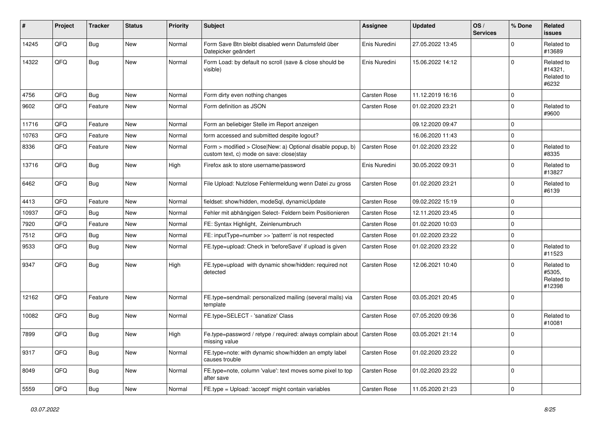| $\sharp$ | Project | <b>Tracker</b> | <b>Status</b> | <b>Priority</b> | <b>Subject</b>                                                                                         | Assignee            | <b>Updated</b>   | OS/<br><b>Services</b> | % Done      | <b>Related</b><br>issues                     |
|----------|---------|----------------|---------------|-----------------|--------------------------------------------------------------------------------------------------------|---------------------|------------------|------------------------|-------------|----------------------------------------------|
| 14245    | QFQ     | Bug            | New           | Normal          | Form Save Btn bleibt disabled wenn Datumsfeld über<br>Datepicker geändert                              | Enis Nuredini       | 27.05.2022 13:45 |                        | $\Omega$    | Related to<br>#13689                         |
| 14322    | QFQ     | Bug            | New           | Normal          | Form Load: by default no scroll (save & close should be<br>visible)                                    | Enis Nuredini       | 15.06.2022 14:12 |                        | $\Omega$    | Related to<br>#14321,<br>Related to<br>#6232 |
| 4756     | QFQ     | Bug            | <b>New</b>    | Normal          | Form dirty even nothing changes                                                                        | <b>Carsten Rose</b> | 11.12.2019 16:16 |                        | $\mathbf 0$ |                                              |
| 9602     | QFQ     | Feature        | New           | Normal          | Form definition as JSON                                                                                | Carsten Rose        | 01.02.2020 23:21 |                        | $\mathbf 0$ | Related to<br>#9600                          |
| 11716    | QFQ     | Feature        | New           | Normal          | Form an beliebiger Stelle im Report anzeigen                                                           |                     | 09.12.2020 09:47 |                        | $\mathbf 0$ |                                              |
| 10763    | QFQ     | Feature        | New           | Normal          | form accessed and submitted despite logout?                                                            |                     | 16.06.2020 11:43 |                        | $\mathbf 0$ |                                              |
| 8336     | QFQ     | Feature        | New           | Normal          | Form > modified > Close New: a) Optional disable popup, b)<br>custom text, c) mode on save: close stay | Carsten Rose        | 01.02.2020 23:22 |                        | $\mathbf 0$ | Related to<br>#8335                          |
| 13716    | QFQ     | <b>Bug</b>     | New           | High            | Firefox ask to store username/password                                                                 | Enis Nuredini       | 30.05.2022 09:31 |                        | $\mathbf 0$ | Related to<br>#13827                         |
| 6462     | QFQ     | Bug            | New           | Normal          | File Upload: Nutzlose Fehlermeldung wenn Datei zu gross                                                | Carsten Rose        | 01.02.2020 23:21 |                        | $\mathbf 0$ | Related to<br>#6139                          |
| 4413     | QFQ     | Feature        | New           | Normal          | fieldset: show/hidden, modeSql, dynamicUpdate                                                          | Carsten Rose        | 09.02.2022 15:19 |                        | $\mathbf 0$ |                                              |
| 10937    | QFQ     | Bug            | <b>New</b>    | Normal          | Fehler mit abhängigen Select- Feldern beim Positionieren                                               | Carsten Rose        | 12.11.2020 23:45 |                        | $\Omega$    |                                              |
| 7920     | QFQ     | Feature        | New           | Normal          | FE: Syntax Highlight, Zeinlenumbruch                                                                   | Carsten Rose        | 01.02.2020 10:03 |                        | $\mathbf 0$ |                                              |
| 7512     | QFQ     | Bug            | <b>New</b>    | Normal          | FE: inputType=number >> 'pattern' is not respected                                                     | Carsten Rose        | 01.02.2020 23:22 |                        | $\mathbf 0$ |                                              |
| 9533     | QFQ     | <b>Bug</b>     | <b>New</b>    | Normal          | FE.type=upload: Check in 'beforeSave' if upload is given                                               | Carsten Rose        | 01.02.2020 23:22 |                        | $\mathbf 0$ | Related to<br>#11523                         |
| 9347     | QFQ     | Bug            | New           | High            | FE.type=upload with dynamic show/hidden: required not<br>detected                                      | Carsten Rose        | 12.06.2021 10:40 |                        | $\mathbf 0$ | Related to<br>#5305,<br>Related to<br>#12398 |
| 12162    | QFQ     | Feature        | New           | Normal          | FE.type=sendmail: personalized mailing (several mails) via<br>template                                 | Carsten Rose        | 03.05.2021 20:45 |                        | $\Omega$    |                                              |
| 10082    | QFQ     | <b>Bug</b>     | New           | Normal          | FE.type=SELECT - 'sanatize' Class                                                                      | Carsten Rose        | 07.05.2020 09:36 |                        | $\mathbf 0$ | Related to<br>#10081                         |
| 7899     | QFQ     | Bug            | <b>New</b>    | High            | Fe.type=password / retype / required: always complain about Carsten Rose<br>missing value              |                     | 03.05.2021 21:14 |                        | $\mathbf 0$ |                                              |
| 9317     | QFQ     | <b>Bug</b>     | New           | Normal          | FE.type=note: with dynamic show/hidden an empty label<br>causes trouble                                | Carsten Rose        | 01.02.2020 23:22 |                        | 0           |                                              |
| 8049     | QFQ     | <b>Bug</b>     | New           | Normal          | FE.type=note, column 'value': text moves some pixel to top<br>after save                               | Carsten Rose        | 01.02.2020 23:22 |                        | $\mathbf 0$ |                                              |
| 5559     | QFQ     | Bug            | New           | Normal          | FE.type = Upload: 'accept' might contain variables                                                     | Carsten Rose        | 11.05.2020 21:23 |                        | 0           |                                              |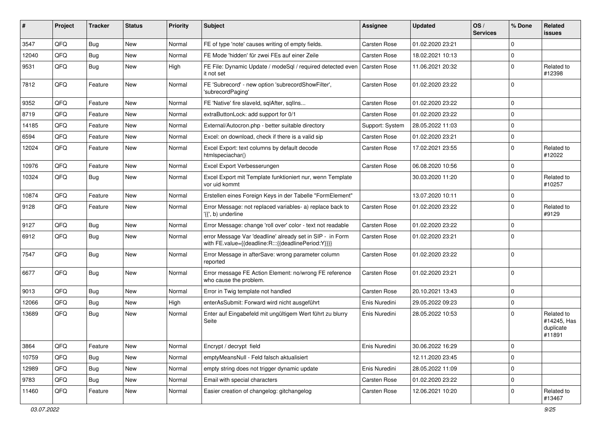| #     | Project | <b>Tracker</b> | <b>Status</b> | <b>Priority</b> | Subject                                                                                                          | Assignee            | <b>Updated</b>   | OS/<br><b>Services</b> | % Done      | Related<br><b>issues</b>                         |
|-------|---------|----------------|---------------|-----------------|------------------------------------------------------------------------------------------------------------------|---------------------|------------------|------------------------|-------------|--------------------------------------------------|
| 3547  | QFQ     | Bug            | <b>New</b>    | Normal          | FE of type 'note' causes writing of empty fields.                                                                | <b>Carsten Rose</b> | 01.02.2020 23:21 |                        | $\mathbf 0$ |                                                  |
| 12040 | QFQ     | <b>Bug</b>     | <b>New</b>    | Normal          | FE Mode 'hidden' für zwei FEs auf einer Zeile                                                                    | Carsten Rose        | 18.02.2021 10:13 |                        | $\mathbf 0$ |                                                  |
| 9531  | QFQ     | Bug            | New           | High            | FE File: Dynamic Update / modeSgl / required detected even<br>it not set                                         | <b>Carsten Rose</b> | 11.06.2021 20:32 |                        | $\Omega$    | Related to<br>#12398                             |
| 7812  | QFQ     | Feature        | <b>New</b>    | Normal          | FE 'Subrecord' - new option 'subrecordShowFilter',<br>'subrecordPaging'                                          | Carsten Rose        | 01.02.2020 23:22 |                        | $\Omega$    |                                                  |
| 9352  | QFQ     | Feature        | <b>New</b>    | Normal          | FE 'Native' fire slaveld, sqlAfter, sqlIns                                                                       | Carsten Rose        | 01.02.2020 23:22 |                        | $\mathbf 0$ |                                                  |
| 8719  | QFQ     | Feature        | <b>New</b>    | Normal          | extraButtonLock: add support for 0/1                                                                             | Carsten Rose        | 01.02.2020 23:22 |                        | $\mathbf 0$ |                                                  |
| 14185 | QFQ     | Feature        | <b>New</b>    | Normal          | External/Autocron.php - better suitable directory                                                                | Support: System     | 28.05.2022 11:03 |                        | $\mathbf 0$ |                                                  |
| 6594  | QFQ     | Feature        | New           | Normal          | Excel: on download, check if there is a valid sip                                                                | Carsten Rose        | 01.02.2020 23:21 |                        | $\mathbf 0$ |                                                  |
| 12024 | QFQ     | Feature        | New           | Normal          | Excel Export: text columns by default decode<br>htmlspeciachar()                                                 | Carsten Rose        | 17.02.2021 23:55 |                        | $\mathbf 0$ | Related to<br>#12022                             |
| 10976 | QFQ     | Feature        | <b>New</b>    | Normal          | Excel Export Verbesserungen                                                                                      | Carsten Rose        | 06.08.2020 10:56 |                        | $\mathbf 0$ |                                                  |
| 10324 | QFQ     | Bug            | <b>New</b>    | Normal          | Excel Export mit Template funktioniert nur, wenn Template<br>vor uid kommt                                       |                     | 30.03.2020 11:20 |                        | $\mathbf 0$ | Related to<br>#10257                             |
| 10874 | QFQ     | Feature        | <b>New</b>    | Normal          | Erstellen eines Foreign Keys in der Tabelle "FormElement"                                                        |                     | 13.07.2020 10:11 |                        | $\mathbf 0$ |                                                  |
| 9128  | QFQ     | Feature        | <b>New</b>    | Normal          | Error Message: not replaced variables- a) replace back to<br>'{{', b) underline                                  | Carsten Rose        | 01.02.2020 23:22 |                        | $\mathbf 0$ | Related to<br>#9129                              |
| 9127  | QFQ     | <b>Bug</b>     | New           | Normal          | Error Message: change 'roll over' color - text not readable                                                      | Carsten Rose        | 01.02.2020 23:22 |                        | $\mathbf 0$ |                                                  |
| 6912  | QFQ     | Bug            | <b>New</b>    | Normal          | error Message Var 'deadline' already set in SIP - in Form<br>with FE.value={{deadline:R:::{{deadlinePeriod:Y}}}} | Carsten Rose        | 01.02.2020 23:21 |                        | $\Omega$    |                                                  |
| 7547  | QFQ     | Bug            | <b>New</b>    | Normal          | Error Message in afterSave: wrong parameter column<br>reported                                                   | Carsten Rose        | 01.02.2020 23:22 |                        | $\mathbf 0$ |                                                  |
| 6677  | QFQ     | Bug            | <b>New</b>    | Normal          | Error message FE Action Element: no/wrong FE reference<br>who cause the problem.                                 | Carsten Rose        | 01.02.2020 23:21 |                        | $\mathbf 0$ |                                                  |
| 9013  | QFQ     | Bug            | <b>New</b>    | Normal          | Error in Twig template not handled                                                                               | Carsten Rose        | 20.10.2021 13:43 |                        | $\mathbf 0$ |                                                  |
| 12066 | QFQ     | Bug            | <b>New</b>    | High            | enterAsSubmit: Forward wird nicht ausgeführt                                                                     | Enis Nuredini       | 29.05.2022 09:23 |                        | $\mathbf 0$ |                                                  |
| 13689 | QFQ     | Bug            | <b>New</b>    | Normal          | Enter auf Eingabefeld mit ungültigem Wert führt zu blurry<br>Seite                                               | Enis Nuredini       | 28.05.2022 10:53 |                        | $\Omega$    | Related to<br>#14245, Has<br>duplicate<br>#11891 |
| 3864  | QFQ     | Feature        | New           | Normal          | Encrypt / decrypt field                                                                                          | Enis Nuredini       | 30.06.2022 16:29 |                        | $\mathbf 0$ |                                                  |
| 10759 | QFQ     | <b>Bug</b>     | New           | Normal          | emptyMeansNull - Feld falsch aktualisiert                                                                        |                     | 12.11.2020 23:45 |                        | $\mathbf 0$ |                                                  |
| 12989 | QFQ     | <b>Bug</b>     | New           | Normal          | empty string does not trigger dynamic update                                                                     | Enis Nuredini       | 28.05.2022 11:09 |                        | $\mathbf 0$ |                                                  |
| 9783  | QFQ     | Bug            | New           | Normal          | Email with special characters                                                                                    | Carsten Rose        | 01.02.2020 23:22 |                        | $\mathbf 0$ |                                                  |
| 11460 | QFQ     | Feature        | New           | Normal          | Easier creation of changelog: gitchangelog                                                                       | Carsten Rose        | 12.06.2021 10:20 |                        | $\mathbf 0$ | Related to<br>#13467                             |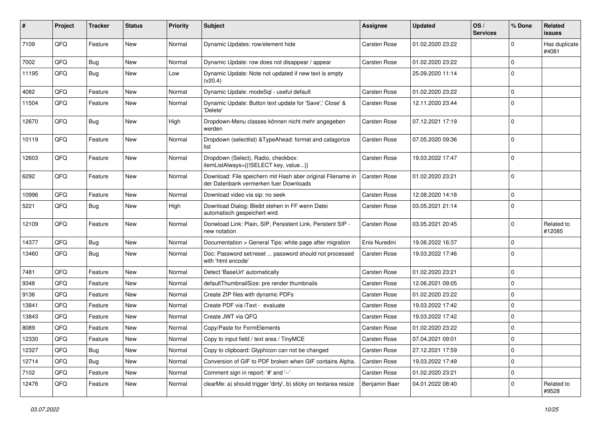| #     | Project | <b>Tracker</b> | <b>Status</b> | <b>Priority</b> | <b>Subject</b>                                                                                        | <b>Assignee</b> | <b>Updated</b>   | OS/<br><b>Services</b> | % Done      | Related<br>issues      |
|-------|---------|----------------|---------------|-----------------|-------------------------------------------------------------------------------------------------------|-----------------|------------------|------------------------|-------------|------------------------|
| 7109  | QFQ     | Feature        | <b>New</b>    | Normal          | Dynamic Updates: row/element hide                                                                     | Carsten Rose    | 01.02.2020 23:22 |                        | $\Omega$    | Has duplicate<br>#4081 |
| 7002  | QFQ     | <b>Bug</b>     | New           | Normal          | Dynamic Update: row does not disappear / appear                                                       | Carsten Rose    | 01.02.2020 23:22 |                        | $\Omega$    |                        |
| 11195 | QFQ     | Bug            | New           | Low             | Dynamic Update: Note not updated if new text is empty<br>(v20.4)                                      |                 | 25.09.2020 11:14 |                        | $\Omega$    |                        |
| 4082  | QFQ     | Feature        | New           | Normal          | Dynamic Update: modeSql - useful default                                                              | Carsten Rose    | 01.02.2020 23:22 |                        | $\Omega$    |                        |
| 11504 | QFQ     | Feature        | New           | Normal          | Dynamic Update: Button text update for 'Save',' Close' &<br>'Delete'                                  | Carsten Rose    | 12.11.2020 23:44 |                        | $\Omega$    |                        |
| 12670 | QFQ     | Bug            | New           | High            | Dropdown-Menu classes können nicht mehr angegeben<br>werden                                           | Carsten Rose    | 07.12.2021 17:19 |                        | $\Omega$    |                        |
| 10119 | QFQ     | Feature        | New           | Normal          | Dropdown (selectlist) & TypeAhead: format and catagorize<br>list                                      | Carsten Rose    | 07.05.2020 09:36 |                        | $\Omega$    |                        |
| 12603 | QFQ     | Feature        | <b>New</b>    | Normal          | Dropdown (Select), Radio, checkbox:<br>itemListAlways={{!SELECT key, value}}                          | Carsten Rose    | 19.03.2022 17:47 |                        | $\Omega$    |                        |
| 6292  | QFQ     | Feature        | <b>New</b>    | Normal          | Download: File speichern mit Hash aber original Filename in<br>der Datenbank vermerken fuer Downloads | Carsten Rose    | 01.02.2020 23:21 |                        | $\Omega$    |                        |
| 10996 | QFQ     | Feature        | <b>New</b>    | Normal          | Download video via sip: no seek                                                                       | Carsten Rose    | 12.08.2020 14:18 |                        | $\Omega$    |                        |
| 5221  | QFQ     | Bug            | <b>New</b>    | High            | Download Dialog: Bleibt stehen in FF wenn Datei<br>automatisch gespeichert wird.                      | Carsten Rose    | 03.05.2021 21:14 |                        | $\Omega$    |                        |
| 12109 | QFQ     | Feature        | New           | Normal          | Donwload Link: Plain, SIP, Persistent Link, Peristent SIP -<br>new notation                           | Carsten Rose    | 03.05.2021 20:45 |                        | $\Omega$    | Related to<br>#12085   |
| 14377 | QFQ     | Bug            | <b>New</b>    | Normal          | Documentation > General Tips: white page after migration                                              | Enis Nuredini   | 19.06.2022 16:37 |                        | $\Omega$    |                        |
| 13460 | QFQ     | <b>Bug</b>     | <b>New</b>    | Normal          | Doc: Password set/reset  password should not processed<br>with 'html encode'                          | Carsten Rose    | 19.03.2022 17:46 |                        | $\Omega$    |                        |
| 7481  | QFQ     | Feature        | <b>New</b>    | Normal          | Detect 'BaseUrl' automatically                                                                        | Carsten Rose    | 01.02.2020 23:21 |                        | $\mathbf 0$ |                        |
| 9348  | QFQ     | Feature        | <b>New</b>    | Normal          | defaultThumbnailSize: pre render thumbnails                                                           | Carsten Rose    | 12.06.2021 09:05 |                        | $\Omega$    |                        |
| 9136  | QFQ     | Feature        | New           | Normal          | Create ZIP files with dynamic PDFs                                                                    | Carsten Rose    | 01.02.2020 23:22 |                        | $\Omega$    |                        |
| 13841 | QFQ     | Feature        | New           | Normal          | Create PDF via iText - evaluate                                                                       | Carsten Rose    | 19.03.2022 17:42 |                        | $\Omega$    |                        |
| 13843 | QFQ     | Feature        | New           | Normal          | Create JWT via QFQ                                                                                    | Carsten Rose    | 19.03.2022 17:42 |                        | $\Omega$    |                        |
| 8089  | QFQ     | Feature        | New           | Normal          | Copy/Paste for FormElements                                                                           | Carsten Rose    | 01.02.2020 23:22 |                        | $\Omega$    |                        |
| 12330 | QFQ     | Feature        | New           | Normal          | Copy to input field / text area / TinyMCE                                                             | Carsten Rose    | 07.04.2021 09:01 |                        | 0           |                        |
| 12327 | QFQ     | Bug            | New           | Normal          | Copy to clipboard: Glyphicon can not be changed                                                       | Carsten Rose    | 27.12.2021 17:59 |                        | $\mathbf 0$ |                        |
| 12714 | QFQ     | <b>Bug</b>     | New           | Normal          | Conversion of GIF to PDF broken when GIF contains Alpha.                                              | Carsten Rose    | 19.03.2022 17:49 |                        | $\mathbf 0$ |                        |
| 7102  | QFQ     | Feature        | New           | Normal          | Comment sign in report: '#' and '--'                                                                  | Carsten Rose    | 01.02.2020 23:21 |                        | 0           |                        |
| 12476 | QFQ     | Feature        | New           | Normal          | clearMe: a) should trigger 'dirty', b) sticky on textarea resize                                      | Benjamin Baer   | 04.01.2022 08:40 |                        | $\mathbf 0$ | Related to<br>#9528    |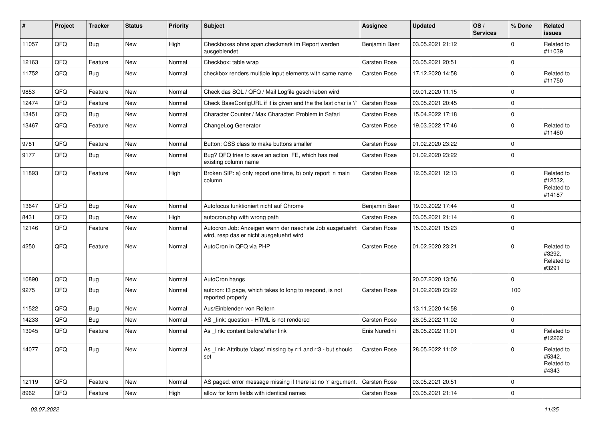| #     | Project | <b>Tracker</b> | <b>Status</b> | <b>Priority</b> | <b>Subject</b>                                                                                       | <b>Assignee</b> | <b>Updated</b>   | OS/<br><b>Services</b> | % Done       | Related<br>issues                             |
|-------|---------|----------------|---------------|-----------------|------------------------------------------------------------------------------------------------------|-----------------|------------------|------------------------|--------------|-----------------------------------------------|
| 11057 | QFQ     | Bug            | New           | High            | Checkboxes ohne span.checkmark im Report werden<br>ausgeblendet                                      | Benjamin Baer   | 03.05.2021 21:12 |                        | 0            | Related to<br>#11039                          |
| 12163 | QFQ     | Feature        | New           | Normal          | Checkbox: table wrap                                                                                 | Carsten Rose    | 03.05.2021 20:51 |                        | $\mathbf 0$  |                                               |
| 11752 | QFQ     | Bug            | New           | Normal          | checkbox renders multiple input elements with same name                                              | Carsten Rose    | 17.12.2020 14:58 |                        | 0            | Related to<br>#11750                          |
| 9853  | QFQ     | Feature        | <b>New</b>    | Normal          | Check das SQL / QFQ / Mail Logfile geschrieben wird                                                  |                 | 09.01.2020 11:15 |                        | $\mathbf{0}$ |                                               |
| 12474 | QFQ     | Feature        | New           | Normal          | Check BaseConfigURL if it is given and the the last char is '/'                                      | Carsten Rose    | 03.05.2021 20:45 |                        | $\mathbf 0$  |                                               |
| 13451 | QFQ     | Bug            | <b>New</b>    | Normal          | Character Counter / Max Character: Problem in Safari                                                 | Carsten Rose    | 15.04.2022 17:18 |                        | 0            |                                               |
| 13467 | QFQ     | Feature        | New           | Normal          | ChangeLog Generator                                                                                  | Carsten Rose    | 19.03.2022 17:46 |                        | $\mathbf 0$  | Related to<br>#11460                          |
| 9781  | QFQ     | Feature        | <b>New</b>    | Normal          | Button: CSS class to make buttons smaller                                                            | Carsten Rose    | 01.02.2020 23:22 |                        | $\pmb{0}$    |                                               |
| 9177  | QFQ     | <b>Bug</b>     | <b>New</b>    | Normal          | Bug? QFQ tries to save an action FE, which has real<br>existing column name                          | Carsten Rose    | 01.02.2020 23:22 |                        | $\mathbf 0$  |                                               |
| 11893 | QFQ     | Feature        | <b>New</b>    | High            | Broken SIP: a) only report one time, b) only report in main<br>column                                | Carsten Rose    | 12.05.2021 12:13 |                        | $\mathbf 0$  | Related to<br>#12532,<br>Related to<br>#14187 |
| 13647 | QFQ     | Bug            | <b>New</b>    | Normal          | Autofocus funktioniert nicht auf Chrome                                                              | Benjamin Baer   | 19.03.2022 17:44 |                        | $\mathbf 0$  |                                               |
| 8431  | QFQ     | Bug            | <b>New</b>    | High            | autocron.php with wrong path                                                                         | Carsten Rose    | 03.05.2021 21:14 |                        | $\mathbf 0$  |                                               |
| 12146 | QFQ     | Feature        | New           | Normal          | Autocron Job: Anzeigen wann der naechste Job ausgefuehrt<br>wird, resp das er nicht ausgefuehrt wird | Carsten Rose    | 15.03.2021 15:23 |                        | $\Omega$     |                                               |
| 4250  | QFQ     | Feature        | <b>New</b>    | Normal          | AutoCron in QFQ via PHP                                                                              | Carsten Rose    | 01.02.2020 23:21 |                        | $\mathbf 0$  | Related to<br>#3292,<br>Related to<br>#3291   |
| 10890 | QFQ     | Bug            | <b>New</b>    | Normal          | AutoCron hangs                                                                                       |                 | 20.07.2020 13:56 |                        | 0            |                                               |
| 9275  | QFQ     | Bug            | <b>New</b>    | Normal          | autcron: t3 page, which takes to long to respond, is not<br>reported properly                        | Carsten Rose    | 01.02.2020 23:22 |                        | 100          |                                               |
| 11522 | QFQ     | Bug            | <b>New</b>    | Normal          | Aus/Einblenden von Reitern                                                                           |                 | 13.11.2020 14:58 |                        | $\pmb{0}$    |                                               |
| 14233 | QFQ     | Bug            | <b>New</b>    | Normal          | AS _link: question - HTML is not rendered                                                            | Carsten Rose    | 28.05.2022 11:02 |                        | $\pmb{0}$    |                                               |
| 13945 | QFQ     | Feature        | <b>New</b>    | Normal          | As link: content before/after link                                                                   | Enis Nuredini   | 28.05.2022 11:01 |                        | $\mathbf 0$  | Related to<br>#12262                          |
| 14077 | QFQ     | Bug            | New           | Normal          | As link: Attribute 'class' missing by r:1 and r:3 - but should<br>set                                | Carsten Rose    | 28.05.2022 11:02 |                        | $\mathbf 0$  | Related to<br>#5342,<br>Related to<br>#4343   |
| 12119 | QFQ     | Feature        | New           | Normal          | AS paged: error message missing if there ist no 'r' argument.                                        | Carsten Rose    | 03.05.2021 20:51 |                        | $\mathbf 0$  |                                               |
| 8962  | QFG     | Feature        | New           | High            | allow for form fields with identical names                                                           | Carsten Rose    | 03.05.2021 21:14 |                        | $\pmb{0}$    |                                               |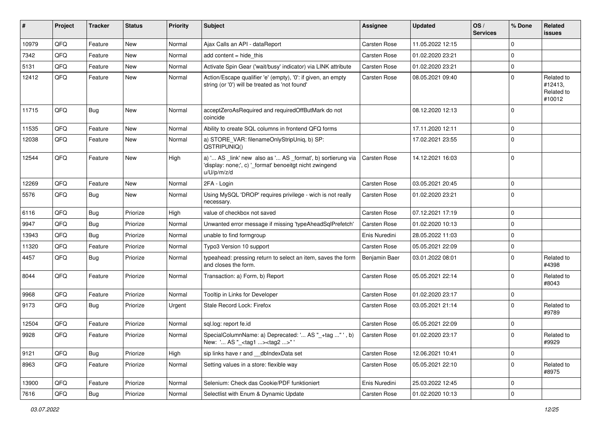| #     | Project | <b>Tracker</b> | <b>Status</b> | <b>Priority</b> | Subject                                                                                                                               | <b>Assignee</b> | <b>Updated</b>   | OS/<br><b>Services</b> | % Done      | Related<br>issues                             |
|-------|---------|----------------|---------------|-----------------|---------------------------------------------------------------------------------------------------------------------------------------|-----------------|------------------|------------------------|-------------|-----------------------------------------------|
| 10979 | QFQ     | Feature        | New           | Normal          | Ajax Calls an API - dataReport                                                                                                        | Carsten Rose    | 11.05.2022 12:15 |                        | $\mathbf 0$ |                                               |
| 7342  | QFQ     | Feature        | New           | Normal          | add content = hide this                                                                                                               | Carsten Rose    | 01.02.2020 23:21 |                        | $\mathbf 0$ |                                               |
| 5131  | QFQ     | Feature        | New           | Normal          | Activate Spin Gear ('wait/busy' indicator) via LINK attribute                                                                         | Carsten Rose    | 01.02.2020 23:21 |                        | $\mathbf 0$ |                                               |
| 12412 | QFQ     | Feature        | New           | Normal          | Action/Escape qualifier 'e' (empty), '0': if given, an empty<br>string (or '0') will be treated as 'not found'                        | Carsten Rose    | 08.05.2021 09:40 |                        | $\mathbf 0$ | Related to<br>#12413,<br>Related to<br>#10012 |
| 11715 | QFQ     | <b>Bug</b>     | New           | Normal          | acceptZeroAsRequired and requiredOffButMark do not<br>coincide                                                                        |                 | 08.12.2020 12:13 |                        | $\mathbf 0$ |                                               |
| 11535 | QFQ     | Feature        | New           | Normal          | Ability to create SQL columns in frontend QFQ forms                                                                                   |                 | 17.11.2020 12:11 |                        | $\mathbf 0$ |                                               |
| 12038 | QFQ     | Feature        | <b>New</b>    | Normal          | a) STORE_VAR: filenameOnlyStripUniq, b) SP:<br>QSTRIPUNIQ()                                                                           |                 | 17.02.2021 23:55 |                        | $\mathbf 0$ |                                               |
| 12544 | QFQ     | Feature        | New           | High            | a) ' AS _link' new also as ' AS _format', b) sortierung via<br>'display: none;', c) '_format' benoeitgt nicht zwingend<br>u/U/p/m/z/d | Carsten Rose    | 14.12.2021 16:03 |                        | $\mathbf 0$ |                                               |
| 12269 | QFQ     | Feature        | New           | Normal          | 2FA - Login                                                                                                                           | Carsten Rose    | 03.05.2021 20:45 |                        | $\mathbf 0$ |                                               |
| 5576  | QFQ     | Bug            | New           | Normal          | Using MySQL 'DROP' requires privilege - wich is not really<br>necessary.                                                              | Carsten Rose    | 01.02.2020 23:21 |                        | $\mathbf 0$ |                                               |
| 6116  | QFQ     | <b>Bug</b>     | Priorize      | High            | value of checkbox not saved                                                                                                           | Carsten Rose    | 07.12.2021 17:19 |                        | 0           |                                               |
| 9947  | QFQ     | <b>Bug</b>     | Priorize      | Normal          | Unwanted error message if missing 'typeAheadSqlPrefetch'                                                                              | Carsten Rose    | 01.02.2020 10:13 |                        | $\pmb{0}$   |                                               |
| 13943 | QFQ     | <b>Bug</b>     | Priorize      | Normal          | unable to find formgroup                                                                                                              | Enis Nuredini   | 28.05.2022 11:03 |                        | $\mathbf 0$ |                                               |
| 11320 | QFQ     | Feature        | Priorize      | Normal          | Typo3 Version 10 support                                                                                                              | Carsten Rose    | 05.05.2021 22:09 |                        | $\pmb{0}$   |                                               |
| 4457  | QFQ     | Bug            | Priorize      | Normal          | typeahead: pressing return to select an item, saves the form<br>and closes the form.                                                  | Benjamin Baer   | 03.01.2022 08:01 |                        | $\mathbf 0$ | Related to<br>#4398                           |
| 8044  | QFQ     | Feature        | Priorize      | Normal          | Transaction: a) Form, b) Report                                                                                                       | Carsten Rose    | 05.05.2021 22:14 |                        | $\mathbf 0$ | Related to<br>#8043                           |
| 9968  | QFQ     | Feature        | Priorize      | Normal          | Tooltip in Links for Developer                                                                                                        | Carsten Rose    | 01.02.2020 23:17 |                        | $\pmb{0}$   |                                               |
| 9173  | QFQ     | Bug            | Priorize      | Urgent          | Stale Record Lock: Firefox                                                                                                            | Carsten Rose    | 03.05.2021 21:14 |                        | $\mathbf 0$ | Related to<br>#9789                           |
| 12504 | QFQ     | Feature        | Priorize      | Normal          | sql.log: report fe.id                                                                                                                 | Carsten Rose    | 05.05.2021 22:09 |                        | $\mathbf 0$ |                                               |
| 9928  | QFQ     | Feature        | Priorize      | Normal          | SpecialColumnName: a) Deprecated: ' AS "_+tag " ', b)<br>New: ' AS "_ <tag1><tag2>"'</tag2></tag1>                                    | Carsten Rose    | 01.02.2020 23:17 |                        | $\mathbf 0$ | Related to<br>#9929                           |
| 9121  | QFQ     | <b>Bug</b>     | Priorize      | High            | sip links have r and __dbIndexData set                                                                                                | Carsten Rose    | 12.06.2021 10:41 |                        | $\pmb{0}$   |                                               |
| 8963  | QFQ     | Feature        | Priorize      | Normal          | Setting values in a store: flexible way                                                                                               | Carsten Rose    | 05.05.2021 22:10 |                        | $\pmb{0}$   | Related to<br>#8975                           |
| 13900 | QFQ     | Feature        | Priorize      | Normal          | Selenium: Check das Cookie/PDF funktioniert                                                                                           | Enis Nuredini   | 25.03.2022 12:45 |                        | $\pmb{0}$   |                                               |
| 7616  | QFG     | <b>Bug</b>     | Priorize      | Normal          | Selectlist with Enum & Dynamic Update                                                                                                 | Carsten Rose    | 01.02.2020 10:13 |                        | $\mathbf 0$ |                                               |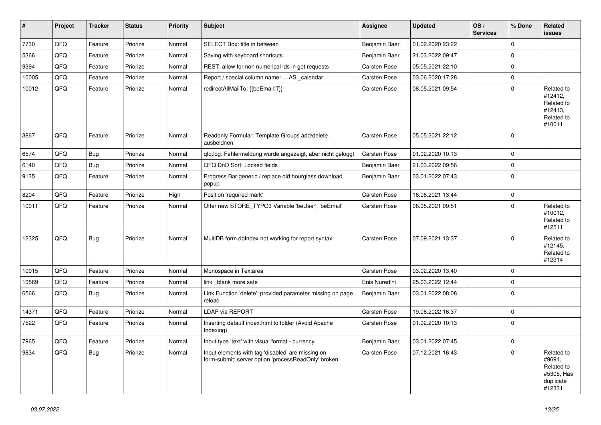| $\vert$ # | Project | <b>Tracker</b> | <b>Status</b> | <b>Priority</b> | <b>Subject</b>                                                                                           | <b>Assignee</b>     | <b>Updated</b>   | OS/<br><b>Services</b> | % Done              | Related<br><b>issues</b>                                                |
|-----------|---------|----------------|---------------|-----------------|----------------------------------------------------------------------------------------------------------|---------------------|------------------|------------------------|---------------------|-------------------------------------------------------------------------|
| 7730      | QFQ     | Feature        | Priorize      | Normal          | SELECT Box: title in between                                                                             | Benjamin Baer       | 01.02.2020 23:22 |                        | $\mathbf{0}$        |                                                                         |
| 5366      | QFQ     | Feature        | Priorize      | Normal          | Saving with keyboard shortcuts                                                                           | Benjamin Baer       | 21.03.2022 09:47 |                        | $\mathbf 0$         |                                                                         |
| 9394      | QFQ     | Feature        | Priorize      | Normal          | REST: allow for non numerical ids in get requests                                                        | Carsten Rose        | 05.05.2021 22:10 |                        | 0                   |                                                                         |
| 10005     | QFQ     | Feature        | Priorize      | Normal          | Report / special column name:  AS _calendar                                                              | Carsten Rose        | 03.06.2020 17:28 |                        | $\mathbf{0}$        |                                                                         |
| 10012     | QFQ     | Feature        | Priorize      | Normal          | redirectAllMailTo: {{beEmail:T}}                                                                         | <b>Carsten Rose</b> | 08.05.2021 09:54 |                        | $\mathbf{0}$        | Related to<br>#12412,<br>Related to<br>#12413,<br>Related to<br>#10011  |
| 3867      | QFQ     | Feature        | Priorize      | Normal          | Readonly Formular: Template Groups add/delete<br>ausbeldnen                                              | Carsten Rose        | 05.05.2021 22:12 |                        | $\mathbf{0}$        |                                                                         |
| 6574      | QFQ     | <b>Bug</b>     | Priorize      | Normal          | qfq.log: Fehlermeldung wurde angezeigt, aber nicht geloggt                                               | Carsten Rose        | 01.02.2020 10:13 |                        | $\mathbf{0}$        |                                                                         |
| 6140      | QFQ     | <b>Bug</b>     | Priorize      | Normal          | QFQ DnD Sort: Locked fields                                                                              | Benjamin Baer       | 21.03.2022 09:56 |                        | $\mathsf{O}\xspace$ |                                                                         |
| 9135      | QFQ     | Feature        | Priorize      | Normal          | Progress Bar generic / replace old hourglass download<br>popup                                           | Benjamin Baer       | 03.01.2022 07:43 |                        | $\mathsf{O}\xspace$ |                                                                         |
| 8204      | QFQ     | Feature        | Priorize      | High            | Position 'required mark'                                                                                 | Carsten Rose        | 16.06.2021 13:44 |                        | $\mathbf 0$         |                                                                         |
| 10011     | QFQ     | Feature        | Priorize      | Normal          | Offer new STORE TYPO3 Variable 'beUser', 'beEmail'                                                       | <b>Carsten Rose</b> | 08.05.2021 09:51 |                        | $\mathbf{0}$        | Related to<br>#10012,<br>Related to<br>#12511                           |
| 12325     | QFQ     | <b>Bug</b>     | Priorize      | Normal          | MultiDB form.dbIndex not working for report syntax                                                       | <b>Carsten Rose</b> | 07.09.2021 13:37 |                        | $\Omega$            | Related to<br>#12145,<br>Related to<br>#12314                           |
| 10015     | QFQ     | Feature        | Priorize      | Normal          | Monospace in Textarea                                                                                    | Carsten Rose        | 03.02.2020 13:40 |                        | $\mathbf 0$         |                                                                         |
| 10569     | QFQ     | Feature        | Priorize      | Normal          | link blank more safe                                                                                     | Enis Nuredini       | 25.03.2022 12:44 |                        | $\mathbf{0}$        |                                                                         |
| 6566      | QFQ     | <b>Bug</b>     | Priorize      | Normal          | Link Function 'delete': provided parameter missing on page<br>reload                                     | Benjamin Baer       | 03.01.2022 08:08 |                        | $\mathbf 0$         |                                                                         |
| 14371     | QFQ     | Feature        | Priorize      | Normal          | <b>LDAP via REPORT</b>                                                                                   | Carsten Rose        | 19.06.2022 16:37 |                        | $\pmb{0}$           |                                                                         |
| 7522      | QFQ     | Feature        | Priorize      | Normal          | Inserting default index.html to folder (Avoid Apache<br>Indexing)                                        | Carsten Rose        | 01.02.2020 10:13 |                        | $\mathbf{0}$        |                                                                         |
| 7965      | QFQ     | Feature        | Priorize      | Normal          | Input type 'text' with visual format - currency                                                          | Benjamin Baer       | 03.01.2022 07:45 |                        | $\mathbf{0}$        |                                                                         |
| 9834      | QFQ     | <b>Bug</b>     | Priorize      | Normal          | Input elements with tag 'disabled' are missing on<br>form-submit: server option 'processReadOnly' broken | Carsten Rose        | 07.12.2021 16:43 |                        | $\mathbf{0}$        | Related to<br>#9691,<br>Related to<br>#5305, Has<br>duplicate<br>#12331 |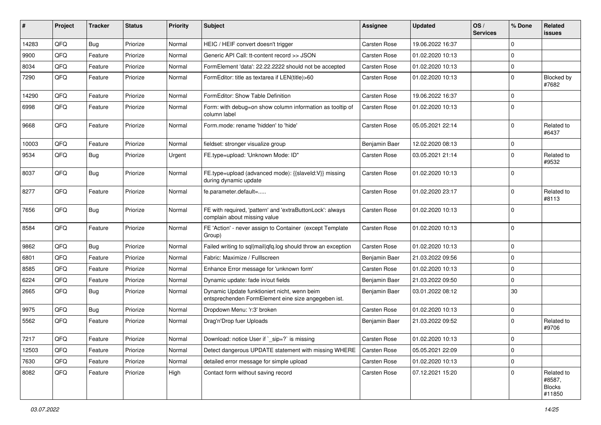| ∦     | Project        | <b>Tracker</b> | <b>Status</b> | <b>Priority</b> | <b>Subject</b>                                                                                      | <b>Assignee</b> | <b>Updated</b>   | OS/<br><b>Services</b> | % Done      | Related<br>issues                               |
|-------|----------------|----------------|---------------|-----------------|-----------------------------------------------------------------------------------------------------|-----------------|------------------|------------------------|-------------|-------------------------------------------------|
| 14283 | QFQ            | Bug            | Priorize      | Normal          | HEIC / HEIF convert doesn't trigger                                                                 | Carsten Rose    | 19.06.2022 16:37 |                        | $\mathbf 0$ |                                                 |
| 9900  | QFQ            | Feature        | Priorize      | Normal          | Generic API Call: tt-content record >> JSON                                                         | Carsten Rose    | 01.02.2020 10:13 |                        | $\mathbf 0$ |                                                 |
| 8034  | QFQ            | Feature        | Priorize      | Normal          | FormElement 'data': 22.22.2222 should not be accepted                                               | Carsten Rose    | 01.02.2020 10:13 |                        | $\mathbf 0$ |                                                 |
| 7290  | QFQ            | Feature        | Priorize      | Normal          | FormEditor: title as textarea if LEN(title)>60                                                      | Carsten Rose    | 01.02.2020 10:13 |                        | $\mathbf 0$ | <b>Blocked by</b><br>#7682                      |
| 14290 | QFQ            | Feature        | Priorize      | Normal          | FormEditor: Show Table Definition                                                                   | Carsten Rose    | 19.06.2022 16:37 |                        | $\mathbf 0$ |                                                 |
| 6998  | QFQ            | Feature        | Priorize      | Normal          | Form: with debug=on show column information as tooltip of<br>column label                           | Carsten Rose    | 01.02.2020 10:13 |                        | $\mathbf 0$ |                                                 |
| 9668  | QFQ            | Feature        | Priorize      | Normal          | Form.mode: rename 'hidden' to 'hide'                                                                | Carsten Rose    | 05.05.2021 22:14 |                        | $\mathbf 0$ | Related to<br>#6437                             |
| 10003 | QFQ            | Feature        | Priorize      | Normal          | fieldset: stronger visualize group                                                                  | Benjamin Baer   | 12.02.2020 08:13 |                        | $\mathbf 0$ |                                                 |
| 9534  | QFQ            | Bug            | Priorize      | Urgent          | FE.type=upload: 'Unknown Mode: ID"                                                                  | Carsten Rose    | 03.05.2021 21:14 |                        | $\mathbf 0$ | Related to<br>#9532                             |
| 8037  | QFQ            | Bug            | Priorize      | Normal          | FE.type=upload (advanced mode): {{slaveld:V}} missing<br>during dynamic update                      | Carsten Rose    | 01.02.2020 10:13 |                        | $\mathbf 0$ |                                                 |
| 8277  | QFQ            | Feature        | Priorize      | Normal          | fe.parameter.default=                                                                               | Carsten Rose    | 01.02.2020 23:17 |                        | $\mathbf 0$ | Related to<br>#8113                             |
| 7656  | QFQ            | Bug            | Priorize      | Normal          | FE with required, 'pattern' and 'extraButtonLock': always<br>complain about missing value           | Carsten Rose    | 01.02.2020 10:13 |                        | $\mathbf 0$ |                                                 |
| 8584  | QFQ            | Feature        | Priorize      | Normal          | FE 'Action' - never assign to Container (except Template<br>Group)                                  | Carsten Rose    | 01.02.2020 10:13 |                        | $\mathbf 0$ |                                                 |
| 9862  | QFQ            | Bug            | Priorize      | Normal          | Failed writing to sql mail qfq.log should throw an exception                                        | Carsten Rose    | 01.02.2020 10:13 |                        | $\mathbf 0$ |                                                 |
| 6801  | QFQ            | Feature        | Priorize      | Normal          | Fabric: Maximize / Fulllscreen                                                                      | Benjamin Baer   | 21.03.2022 09:56 |                        | $\mathbf 0$ |                                                 |
| 8585  | QFQ            | Feature        | Priorize      | Normal          | Enhance Error message for 'unknown form'                                                            | Carsten Rose    | 01.02.2020 10:13 |                        | $\mathbf 0$ |                                                 |
| 6224  | QFQ            | Feature        | Priorize      | Normal          | Dynamic update: fade in/out fields                                                                  | Benjamin Baer   | 21.03.2022 09:50 |                        | $\mathbf 0$ |                                                 |
| 2665  | QFQ            | <b>Bug</b>     | Priorize      | Normal          | Dynamic Update funktioniert nicht, wenn beim<br>entsprechenden FormElement eine size angegeben ist. | Benjamin Baer   | 03.01.2022 08:12 |                        | 30          |                                                 |
| 9975  | QFQ            | Bug            | Priorize      | Normal          | Dropdown Menu: 'r:3' broken                                                                         | Carsten Rose    | 01.02.2020 10:13 |                        | $\mathbf 0$ |                                                 |
| 5562  | QFQ            | Feature        | Priorize      | Normal          | Drag'n'Drop fuer Uploads                                                                            | Benjamin Baer   | 21.03.2022 09:52 |                        | $\mathbf 0$ | Related to<br>#9706                             |
| 7217  | $\mathsf{QFQ}$ | Feature        | Priorize      | Normal          | Download: notice User if `_sip=?` is missing                                                        | Carsten Rose    | 01.02.2020 10:13 |                        | $\mathbf 0$ |                                                 |
| 12503 | QFQ            | Feature        | Priorize      | Normal          | Detect dangerous UPDATE statement with missing WHERE                                                | Carsten Rose    | 05.05.2021 22:09 |                        | 0           |                                                 |
| 7630  | QFQ            | Feature        | Priorize      | Normal          | detailed error message for simple upload                                                            | Carsten Rose    | 01.02.2020 10:13 |                        | $\mathbf 0$ |                                                 |
| 8082  | QFQ            | Feature        | Priorize      | High            | Contact form without saving record                                                                  | Carsten Rose    | 07.12.2021 15:20 |                        | 0           | Related to<br>#8587,<br><b>Blocks</b><br>#11850 |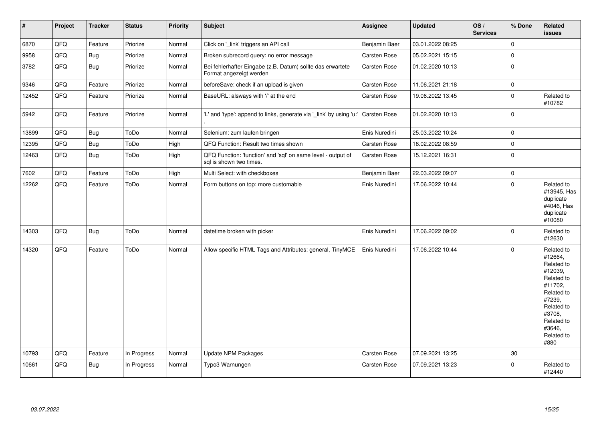| $\vert$ # | Project | <b>Tracker</b> | <b>Status</b> | <b>Priority</b> | Subject                                                                                 | <b>Assignee</b> | <b>Updated</b>   | OS/<br><b>Services</b> | % Done       | Related<br><b>issues</b>                                                                                                                                              |
|-----------|---------|----------------|---------------|-----------------|-----------------------------------------------------------------------------------------|-----------------|------------------|------------------------|--------------|-----------------------------------------------------------------------------------------------------------------------------------------------------------------------|
| 6870      | QFQ     | Feature        | Priorize      | Normal          | Click on '_link' triggers an API call                                                   | Benjamin Baer   | 03.01.2022 08:25 |                        | $\mathbf{0}$ |                                                                                                                                                                       |
| 9958      | QFO     | Bug            | Priorize      | Normal          | Broken subrecord query: no error message                                                | Carsten Rose    | 05.02.2021 15:15 |                        | $\pmb{0}$    |                                                                                                                                                                       |
| 3782      | QFQ     | <b>Bug</b>     | Priorize      | Normal          | Bei fehlerhafter Eingabe (z.B. Datum) sollte das erwartete<br>Format angezeigt werden   | Carsten Rose    | 01.02.2020 10:13 |                        | $\mathbf{0}$ |                                                                                                                                                                       |
| 9346      | QFQ     | Feature        | Priorize      | Normal          | beforeSave: check if an upload is given                                                 | Carsten Rose    | 11.06.2021 21:18 |                        | $\pmb{0}$    |                                                                                                                                                                       |
| 12452     | QFQ     | Feature        | Priorize      | Normal          | BaseURL: alsways with '/' at the end                                                    | Carsten Rose    | 19.06.2022 13:45 |                        | $\pmb{0}$    | Related to<br>#10782                                                                                                                                                  |
| 5942      | QFQ     | Feature        | Priorize      | Normal          | 'L' and 'type': append to links, generate via '_link' by using 'u:'                     | Carsten Rose    | 01.02.2020 10:13 |                        | $\mathbf{0}$ |                                                                                                                                                                       |
| 13899     | QFQ     | <b>Bug</b>     | ToDo          | Normal          | Selenium: zum laufen bringen                                                            | Enis Nuredini   | 25.03.2022 10:24 |                        | $\pmb{0}$    |                                                                                                                                                                       |
| 12395     | QFQ     | Bug            | ToDo          | High            | QFQ Function: Result two times shown                                                    | Carsten Rose    | 18.02.2022 08:59 |                        | $\pmb{0}$    |                                                                                                                                                                       |
| 12463     | QFQ     | <b>Bug</b>     | ToDo          | High            | QFQ Function: 'function' and 'sql' on same level - output of<br>sql is shown two times. | Carsten Rose    | 15.12.2021 16:31 |                        | $\mathbf{0}$ |                                                                                                                                                                       |
| 7602      | QFQ     | Feature        | ToDo          | High            | Multi Select: with checkboxes                                                           | Benjamin Baer   | 22.03.2022 09:07 |                        | $\pmb{0}$    |                                                                                                                                                                       |
| 12262     | QFO     | Feature        | ToDo          | Normal          | Form buttons on top: more customable                                                    | Enis Nuredini   | 17.06.2022 10:44 |                        | $\pmb{0}$    | Related to<br>#13945, Has<br>duplicate<br>#4046, Has<br>duplicate<br>#10080                                                                                           |
| 14303     | QFQ     | Bug            | ToDo          | Normal          | datetime broken with picker                                                             | Enis Nuredini   | 17.06.2022 09:02 |                        | $\mathbf{0}$ | Related to<br>#12630                                                                                                                                                  |
| 14320     | QFQ     | Feature        | ToDo          | Normal          | Allow specific HTML Tags and Attributes: general, TinyMCE                               | Enis Nuredini   | 17.06.2022 10:44 |                        | $\mathbf 0$  | Related to<br>#12664,<br>Related to<br>#12039,<br>Related to<br>#11702,<br>Related to<br>#7239,<br>Related to<br>#3708,<br>Related to<br>#3646.<br>Related to<br>#880 |
| 10793     | QFQ     | Feature        | In Progress   | Normal          | <b>Update NPM Packages</b>                                                              | Carsten Rose    | 07.09.2021 13:25 |                        | 30           |                                                                                                                                                                       |
| 10661     | QFQ     | Bug            | In Progress   | Normal          | Typo3 Warnungen                                                                         | Carsten Rose    | 07.09.2021 13:23 |                        | $\mathbf{0}$ | Related to<br>#12440                                                                                                                                                  |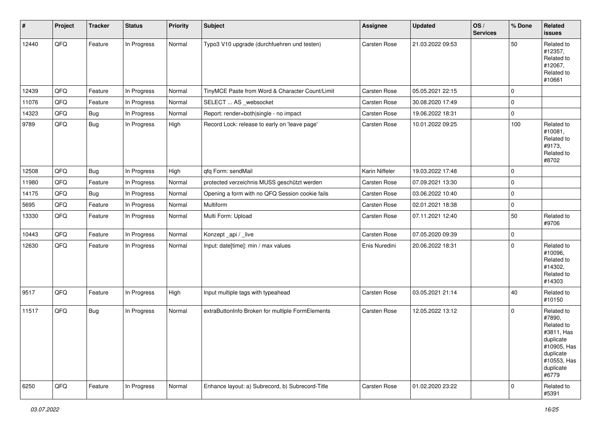| $\vert$ # | Project | <b>Tracker</b> | <b>Status</b> | <b>Priority</b> | <b>Subject</b>                                   | <b>Assignee</b>     | <b>Updated</b>   | OS/<br><b>Services</b> | % Done | Related<br>issues                                                                                                              |
|-----------|---------|----------------|---------------|-----------------|--------------------------------------------------|---------------------|------------------|------------------------|--------|--------------------------------------------------------------------------------------------------------------------------------|
| 12440     | QFQ     | Feature        | In Progress   | Normal          | Typo3 V10 upgrade (durchfuehren und testen)      | Carsten Rose        | 21.03.2022 09:53 |                        | 50     | Related to<br>#12357,<br>Related to<br>#12067,<br>Related to<br>#10661                                                         |
| 12439     | QFQ     | Feature        | In Progress   | Normal          | TinyMCE Paste from Word & Character Count/Limit  | Carsten Rose        | 05.05.2021 22:15 |                        | 0      |                                                                                                                                |
| 11076     | QFQ     | Feature        | In Progress   | Normal          | SELECT  AS _websocket                            | Carsten Rose        | 30.08.2020 17:49 |                        | 0      |                                                                                                                                |
| 14323     | QFQ     | Bug            | In Progress   | Normal          | Report: render=both single - no impact           | Carsten Rose        | 19.06.2022 18:31 |                        | 0      |                                                                                                                                |
| 9789      | QFQ     | <b>Bug</b>     | In Progress   | High            | Record Lock: release to early on 'leave page'    | <b>Carsten Rose</b> | 10.01.2022 09:25 |                        | 100    | Related to<br>#10081,<br>Related to<br>#9173,<br>Related to<br>#8702                                                           |
| 12508     | QFQ     | Bug            | In Progress   | High            | qfq Form: sendMail                               | Karin Niffeler      | 19.03.2022 17:48 |                        | 0      |                                                                                                                                |
| 11980     | QFQ     | Feature        | In Progress   | Normal          | protected verzeichnis MUSS geschützt werden      | Carsten Rose        | 07.09.2021 13:30 |                        | 0      |                                                                                                                                |
| 14175     | QFQ     | Bug            | In Progress   | Normal          | Opening a form with no QFQ Session cookie fails  | Carsten Rose        | 03.06.2022 10:40 |                        | 0      |                                                                                                                                |
| 5695      | QFQ     | Feature        | In Progress   | Normal          | Multiform                                        | Carsten Rose        | 02.01.2021 18:38 |                        | 0      |                                                                                                                                |
| 13330     | QFQ     | Feature        | In Progress   | Normal          | Multi Form: Upload                               | Carsten Rose        | 07.11.2021 12:40 |                        | 50     | Related to<br>#9706                                                                                                            |
| 10443     | QFQ     | Feature        | In Progress   | Normal          | Konzept_api / _live                              | Carsten Rose        | 07.05.2020 09:39 |                        | 0      |                                                                                                                                |
| 12630     | QFQ     | Feature        | In Progress   | Normal          | Input: date[time]: min / max values              | Enis Nuredini       | 20.06.2022 18:31 |                        | 0      | Related to<br>#10096,<br>Related to<br>#14302,<br>Related to<br>#14303                                                         |
| 9517      | QFQ     | Feature        | In Progress   | High            | Input multiple tags with typeahead               | Carsten Rose        | 03.05.2021 21:14 |                        | 40     | Related to<br>#10150                                                                                                           |
| 11517     | QFQ     | <b>Bug</b>     | In Progress   | Normal          | extraButtonInfo Broken for multiple FormElements | Carsten Rose        | 12.05.2022 13:12 |                        | 0      | Related to<br>#7890,<br>Related to<br>#3811, Has<br>duplicate<br>#10905, Has<br>duplicate<br>#10553, Has<br>duplicate<br>#6779 |
| 6250      | QFG     | Feature        | In Progress   | Normal          | Enhance layout: a) Subrecord, b) Subrecord-Title | Carsten Rose        | 01.02.2020 23:22 |                        | 0      | Related to<br>#5391                                                                                                            |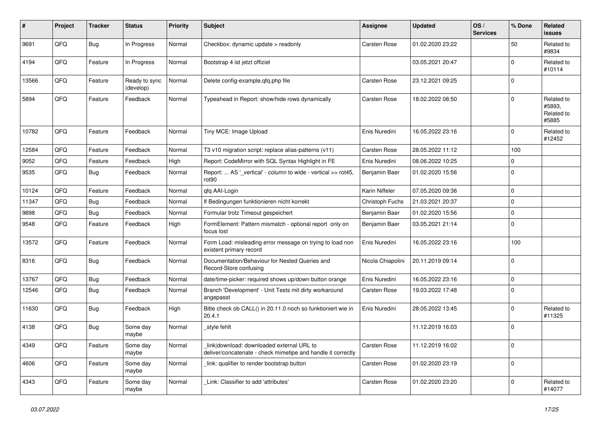| #     | Project | <b>Tracker</b> | <b>Status</b>              | <b>Priority</b> | <b>Subject</b>                                                                                            | <b>Assignee</b>   | <b>Updated</b>   | OS/<br><b>Services</b> | % Done      | <b>Related</b><br><b>issues</b>             |
|-------|---------|----------------|----------------------------|-----------------|-----------------------------------------------------------------------------------------------------------|-------------------|------------------|------------------------|-------------|---------------------------------------------|
| 9691  | QFQ     | <b>Bug</b>     | In Progress                | Normal          | Checkbox: dynamic update > readonly                                                                       | Carsten Rose      | 01.02.2020 23:22 |                        | 50          | Related to<br>#9834                         |
| 4194  | QFQ     | Feature        | In Progress                | Normal          | Bootstrap 4 ist jetzt offiziel                                                                            |                   | 03.05.2021 20:47 |                        | 0           | Related to<br>#10114                        |
| 13566 | QFQ     | Feature        | Ready to sync<br>(develop) | Normal          | Delete config-example.gfg.php file                                                                        | Carsten Rose      | 23.12.2021 09:25 |                        | $\mathbf 0$ |                                             |
| 5894  | QFQ     | Feature        | Feedback                   | Normal          | Typeahead in Report: show/hide rows dynamically                                                           | Carsten Rose      | 18.02.2022 08:50 |                        | $\mathbf 0$ | Related to<br>#5893.<br>Related to<br>#5885 |
| 10782 | QFQ     | Feature        | Feedback                   | Normal          | Tiny MCE: Image Upload                                                                                    | Enis Nuredini     | 16.05.2022 23:16 |                        | $\pmb{0}$   | Related to<br>#12452                        |
| 12584 | QFQ     | Feature        | Feedback                   | Normal          | T3 v10 migration script: replace alias-patterns (v11)                                                     | Carsten Rose      | 28.05.2022 11:12 |                        | 100         |                                             |
| 9052  | QFQ     | Feature        | Feedback                   | High            | Report: CodeMirror with SQL Syntax Highlight in FE                                                        | Enis Nuredini     | 08.06.2022 10:25 |                        | 0           |                                             |
| 9535  | QFQ     | Bug            | Feedback                   | Normal          | Report:  AS ' vertical' - column to wide - vertical >> rot45,<br>rot90                                    | Benjamin Baer     | 01.02.2020 15:56 |                        | $\mathbf 0$ |                                             |
| 10124 | QFQ     | Feature        | Feedback                   | Normal          | qfq AAI-Login                                                                                             | Karin Niffeler    | 07.05.2020 09:36 |                        | $\pmb{0}$   |                                             |
| 11347 | QFQ     | <b>Bug</b>     | Feedback                   | Normal          | If Bedingungen funktionieren nicht korrekt                                                                | Christoph Fuchs   | 21.03.2021 20:37 |                        | $\pmb{0}$   |                                             |
| 9898  | QFQ     | <b>Bug</b>     | Feedback                   | Normal          | Formular trotz Timeout gespeichert                                                                        | Benjamin Baer     | 01.02.2020 15:56 |                        | $\pmb{0}$   |                                             |
| 9548  | QFQ     | Feature        | Feedback                   | High            | FormElement: Pattern mismatch - optional report only on<br>focus lost                                     | Benjamin Baer     | 03.05.2021 21:14 |                        | $\pmb{0}$   |                                             |
| 13572 | QFQ     | Feature        | Feedback                   | Normal          | Form Load: misleading error message on trying to load non<br>existent primary record                      | Enis Nuredini     | 16.05.2022 23:16 |                        | 100         |                                             |
| 8316  | QFQ     | Bug            | Feedback                   | Normal          | Documentation/Behaviour for Nested Queries and<br>Record-Store confusing                                  | Nicola Chiapolini | 20.11.2019 09:14 |                        | $\mathbf 0$ |                                             |
| 13767 | QFQ     | <b>Bug</b>     | Feedback                   | Normal          | date/time-picker: required shows up/down button orange                                                    | Enis Nuredini     | 16.05.2022 23:16 |                        | $\pmb{0}$   |                                             |
| 12546 | QFQ     | <b>Bug</b>     | Feedback                   | Normal          | Branch 'Development' - Unit Tests mit dirty workaround<br>angepasst                                       | Carsten Rose      | 19.03.2022 17:48 |                        | $\mathbf 0$ |                                             |
| 11630 | QFQ     | Bug            | Feedback                   | High            | Bitte check ob CALL() in 20.11.0 noch so funktioniert wie in<br>20.4.1                                    | Enis Nuredini     | 28.05.2022 13:45 |                        | $\mathbf 0$ | Related to<br>#11325                        |
| 4138  | QFQ     | Bug            | Some day<br>maybe          | Normal          | style fehlt                                                                                               |                   | 11.12.2019 16:03 |                        | $\mathbf 0$ |                                             |
| 4349  | QFQ     | Feature        | Some day<br>maybe          | Normal          | link download: downloaded external URL to<br>deliver/concatenate - check mimetipe and handle it correctly | Carsten Rose      | 11.12.2019 16:02 |                        | $\mathbf 0$ |                                             |
| 4606  | QFQ     | Feature        | Some day<br>maybe          | Normal          | link: qualifier to render bootstrap button                                                                | Carsten Rose      | 01.02.2020 23:19 |                        | $\mathbf 0$ |                                             |
| 4343  | QFQ     | Feature        | Some day<br>maybe          | Normal          | Link: Classifier to add 'attributes'                                                                      | Carsten Rose      | 01.02.2020 23:20 |                        | $\mathbf 0$ | Related to<br>#14077                        |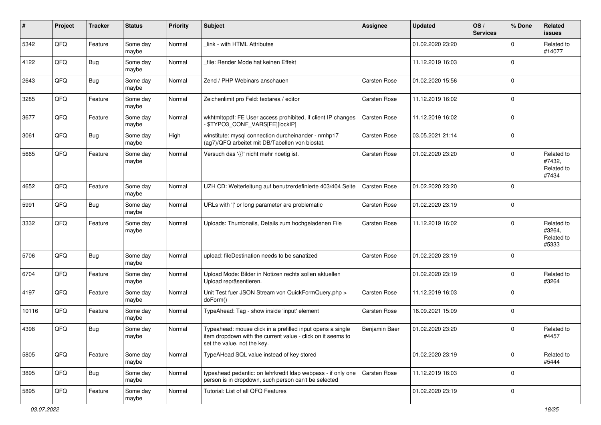| #     | Project | <b>Tracker</b> | <b>Status</b>     | <b>Priority</b> | <b>Subject</b>                                                                                                                                           | <b>Assignee</b> | <b>Updated</b>   | OS/<br><b>Services</b> | % Done         | Related<br><b>issues</b>                    |
|-------|---------|----------------|-------------------|-----------------|----------------------------------------------------------------------------------------------------------------------------------------------------------|-----------------|------------------|------------------------|----------------|---------------------------------------------|
| 5342  | QFQ     | Feature        | Some day<br>maybe | Normal          | link - with HTML Attributes                                                                                                                              |                 | 01.02.2020 23:20 |                        | $\mathbf 0$    | Related to<br>#14077                        |
| 4122  | QFQ     | Bug            | Some day<br>maybe | Normal          | file: Render Mode hat keinen Effekt                                                                                                                      |                 | 11.12.2019 16:03 |                        | $\overline{0}$ |                                             |
| 2643  | QFQ     | Bug            | Some day<br>maybe | Normal          | Zend / PHP Webinars anschauen                                                                                                                            | Carsten Rose    | 01.02.2020 15:56 |                        | $\Omega$       |                                             |
| 3285  | QFQ     | Feature        | Some day<br>maybe | Normal          | Zeichenlimit pro Feld: textarea / editor                                                                                                                 | Carsten Rose    | 11.12.2019 16:02 |                        | $\Omega$       |                                             |
| 3677  | QFQ     | Feature        | Some day<br>maybe | Normal          | wkhtmltopdf: FE User access prohibited, if client IP changes<br>- \$TYPO3_CONF_VARS[FE][lockIP]                                                          | Carsten Rose    | 11.12.2019 16:02 |                        | $\mathbf 0$    |                                             |
| 3061  | QFQ     | <b>Bug</b>     | Some day<br>maybe | High            | winstitute: mysql connection durcheinander - nmhp17<br>(ag7)/QFQ arbeitet mit DB/Tabellen von biostat.                                                   | Carsten Rose    | 03.05.2021 21:14 |                        | $\mathbf{0}$   |                                             |
| 5665  | QFQ     | Feature        | Some day<br>maybe | Normal          | Versuch das '{{!' nicht mehr noetig ist.                                                                                                                 | Carsten Rose    | 01.02.2020 23:20 |                        | $\Omega$       | Related to<br>#7432,<br>Related to<br>#7434 |
| 4652  | QFQ     | Feature        | Some day<br>maybe | Normal          | UZH CD: Weiterleitung auf benutzerdefinierte 403/404 Seite                                                                                               | Carsten Rose    | 01.02.2020 23:20 |                        | $\mathbf{0}$   |                                             |
| 5991  | QFQ     | Bug            | Some day<br>maybe | Normal          | URLs with ' ' or long parameter are problematic                                                                                                          | Carsten Rose    | 01.02.2020 23:19 |                        | $\mathbf 0$    |                                             |
| 3332  | QFQ     | Feature        | Some day<br>maybe | Normal          | Uploads: Thumbnails, Details zum hochgeladenen File                                                                                                      | Carsten Rose    | 11.12.2019 16:02 |                        | $\mathbf{0}$   | Related to<br>#3264,<br>Related to<br>#5333 |
| 5706  | QFQ     | Bug            | Some day<br>maybe | Normal          | upload: fileDestination needs to be sanatized                                                                                                            | Carsten Rose    | 01.02.2020 23:19 |                        | $\mathbf 0$    |                                             |
| 6704  | QFQ     | Feature        | Some day<br>maybe | Normal          | Upload Mode: Bilder in Notizen rechts sollen aktuellen<br>Upload repräsentieren.                                                                         |                 | 01.02.2020 23:19 |                        | $\mathbf 0$    | Related to<br>#3264                         |
| 4197  | QFQ     | Feature        | Some day<br>maybe | Normal          | Unit Test fuer JSON Stream von QuickFormQuery.php ><br>doForm()                                                                                          | Carsten Rose    | 11.12.2019 16:03 |                        | $\overline{0}$ |                                             |
| 10116 | QFQ     | Feature        | Some day<br>maybe | Normal          | TypeAhead: Tag - show inside 'input' element                                                                                                             | Carsten Rose    | 16.09.2021 15:09 |                        | $\mathbf{0}$   |                                             |
| 4398  | QFQ     | <b>Bug</b>     | Some day<br>maybe | Normal          | Typeahead: mouse click in a prefilled input opens a single<br>item dropdown with the current value - click on it seems to<br>set the value, not the key. | Benjamin Baer   | 01.02.2020 23:20 |                        | $\Omega$       | Related to<br>#4457                         |
| 5805  | QFQ     | Feature        | Some day<br>maybe | Normal          | TypeAHead SQL value instead of key stored                                                                                                                |                 | 01.02.2020 23:19 |                        | $\mathbf 0$    | Related to<br>#5444                         |
| 3895  | QFQ     | <b>Bug</b>     | Some day<br>maybe | Normal          | typeahead pedantic: on lehrkredit Idap webpass - if only one<br>person is in dropdown, such person can't be selected                                     | Carsten Rose    | 11.12.2019 16:03 |                        | $\mathbf{0}$   |                                             |
| 5895  | QFQ     | Feature        | Some day<br>maybe | Normal          | Tutorial: List of all QFQ Features                                                                                                                       |                 | 01.02.2020 23:19 |                        | $\mathbf 0$    |                                             |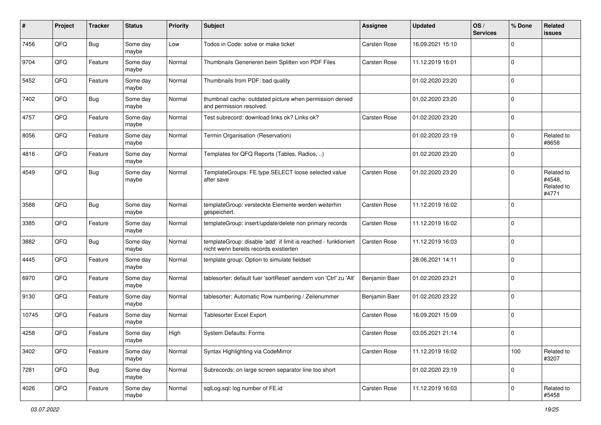| #     | Project | <b>Tracker</b> | <b>Status</b>     | <b>Priority</b> | Subject                                                                                                   | <b>Assignee</b> | <b>Updated</b>   | OS/<br><b>Services</b> | % Done       | Related<br>issues                           |
|-------|---------|----------------|-------------------|-----------------|-----------------------------------------------------------------------------------------------------------|-----------------|------------------|------------------------|--------------|---------------------------------------------|
| 7456  | QFQ     | Bug            | Some day<br>maybe | Low             | Todos in Code: solve or make ticket                                                                       | Carsten Rose    | 16.09.2021 15:10 |                        | $\Omega$     |                                             |
| 9704  | QFQ     | Feature        | Some day<br>maybe | Normal          | Thumbnails Generieren beim Splitten von PDF Files                                                         | Carsten Rose    | 11.12.2019 16:01 |                        | $\mathbf 0$  |                                             |
| 5452  | QFQ     | Feature        | Some day<br>maybe | Normal          | Thumbnails from PDF: bad quality                                                                          |                 | 01.02.2020 23:20 |                        | $\Omega$     |                                             |
| 7402  | QFQ     | <b>Bug</b>     | Some day<br>maybe | Normal          | thumbnail cache: outdated picture when permission denied<br>and permission resolved.                      |                 | 01.02.2020 23:20 |                        | $\mathbf 0$  |                                             |
| 4757  | QFQ     | Feature        | Some day<br>maybe | Normal          | Test subrecord: download links ok? Links ok?                                                              | Carsten Rose    | 01.02.2020 23:20 |                        | $\mathbf{0}$ |                                             |
| 8056  | QFQ     | Feature        | Some day<br>maybe | Normal          | Termin Organisation (Reservation)                                                                         |                 | 01.02.2020 23:19 |                        | $\mathbf 0$  | Related to<br>#8658                         |
| 4816  | QFQ     | Feature        | Some day<br>maybe | Normal          | Templates for QFQ Reports (Tables, Radios, )                                                              |                 | 01.02.2020 23:20 |                        | $\Omega$     |                                             |
| 4549  | QFQ     | Bug            | Some day<br>maybe | Normal          | TemplateGroups: FE.type SELECT loose selected value<br>after save                                         | Carsten Rose    | 01.02.2020 23:20 |                        | $\Omega$     | Related to<br>#4548,<br>Related to<br>#4771 |
| 3588  | QFQ     | <b>Bug</b>     | Some day<br>maybe | Normal          | templateGroup: versteckte Elemente werden weiterhin<br>gespeichert.                                       | Carsten Rose    | 11.12.2019 16:02 |                        | $\mathbf 0$  |                                             |
| 3385  | QFQ     | Feature        | Some day<br>maybe | Normal          | templateGroup: insert/update/delete non primary records                                                   | Carsten Rose    | 11.12.2019 16:02 |                        | $\mathbf{0}$ |                                             |
| 3882  | QFQ     | Bug            | Some day<br>maybe | Normal          | templateGroup: disable 'add' if limit is reached - funktioniert<br>nicht wenn bereits records existierten | Carsten Rose    | 11.12.2019 16:03 |                        | $\mathbf{0}$ |                                             |
| 4445  | QFQ     | Feature        | Some day<br>maybe | Normal          | template group: Option to simulate fieldset                                                               |                 | 28.06.2021 14:11 |                        | $\Omega$     |                                             |
| 6970  | QFQ     | Feature        | Some day<br>maybe | Normal          | tablesorter: default fuer 'sortReset' aendern von 'Ctrl' zu 'Alt'                                         | Benjamin Baer   | 01.02.2020 23:21 |                        | $\Omega$     |                                             |
| 9130  | QFQ     | Feature        | Some day<br>maybe | Normal          | tablesorter: Automatic Row numbering / Zeilenummer                                                        | Benjamin Baer   | 01.02.2020 23:22 |                        | $\mathbf 0$  |                                             |
| 10745 | QFQ     | Feature        | Some day<br>maybe | Normal          | Tablesorter Excel Export                                                                                  | Carsten Rose    | 16.09.2021 15:09 |                        | $\mathbf{0}$ |                                             |
| 4258  | QFQ     | Feature        | Some day<br>maybe | High            | System Defaults: Forms                                                                                    | Carsten Rose    | 03.05.2021 21:14 |                        | $\mathbf 0$  |                                             |
| 3402  | QFQ     | Feature        | Some day<br>maybe | Normal          | Syntax Highlighting via CodeMirror                                                                        | Carsten Rose    | 11.12.2019 16:02 |                        | 100          | Related to<br>#3207                         |
| 7281  | QFQ     | Bug            | Some day<br>maybe | Normal          | Subrecords: on large screen separator line too short                                                      |                 | 01.02.2020 23:19 |                        | $\mathbf 0$  |                                             |
| 4026  | QFQ     | Feature        | Some day<br>maybe | Normal          | sqlLog.sql: log number of FE.id                                                                           | Carsten Rose    | 11.12.2019 16:03 |                        | $\mathbf 0$  | Related to<br>#5458                         |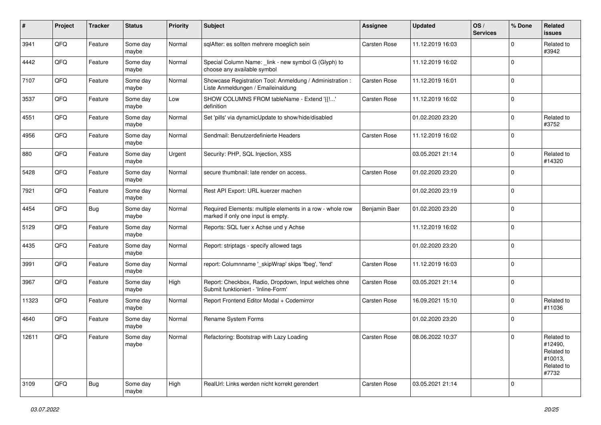| #     | Project | <b>Tracker</b> | <b>Status</b>     | <b>Priority</b> | <b>Subject</b>                                                                                  | <b>Assignee</b> | <b>Updated</b>   | OS/<br><b>Services</b> | % Done       | Related<br>issues                                                     |
|-------|---------|----------------|-------------------|-----------------|-------------------------------------------------------------------------------------------------|-----------------|------------------|------------------------|--------------|-----------------------------------------------------------------------|
| 3941  | QFQ     | Feature        | Some day<br>maybe | Normal          | sqlAfter: es sollten mehrere moeglich sein                                                      | Carsten Rose    | 11.12.2019 16:03 |                        | $\mathbf 0$  | Related to<br>#3942                                                   |
| 4442  | QFQ     | Feature        | Some day<br>maybe | Normal          | Special Column Name: _link - new symbol G (Glyph) to<br>choose any available symbol             |                 | 11.12.2019 16:02 |                        | 0            |                                                                       |
| 7107  | QFQ     | Feature        | Some day<br>maybe | Normal          | Showcase Registration Tool: Anmeldung / Administration :<br>Liste Anmeldungen / Emaileinaldung  | Carsten Rose    | 11.12.2019 16:01 |                        | $\mathbf 0$  |                                                                       |
| 3537  | QFQ     | Feature        | Some day<br>maybe | Low             | SHOW COLUMNS FROM tableName - Extend '{{!'<br>definition                                        | Carsten Rose    | 11.12.2019 16:02 |                        | $\mathbf 0$  |                                                                       |
| 4551  | QFQ     | Feature        | Some day<br>maybe | Normal          | Set 'pills' via dynamicUpdate to show/hide/disabled                                             |                 | 01.02.2020 23:20 |                        | $\mathbf 0$  | Related to<br>#3752                                                   |
| 4956  | QFQ     | Feature        | Some day<br>maybe | Normal          | Sendmail: Benutzerdefinierte Headers                                                            | Carsten Rose    | 11.12.2019 16:02 |                        | $\mathbf 0$  |                                                                       |
| 880   | QFQ     | Feature        | Some day<br>maybe | Urgent          | Security: PHP, SQL Injection, XSS                                                               |                 | 03.05.2021 21:14 |                        | 0            | Related to<br>#14320                                                  |
| 5428  | QFQ     | Feature        | Some day<br>maybe | Normal          | secure thumbnail: late render on access.                                                        | Carsten Rose    | 01.02.2020 23:20 |                        | 0            |                                                                       |
| 7921  | QFQ     | Feature        | Some day<br>maybe | Normal          | Rest API Export: URL kuerzer machen                                                             |                 | 01.02.2020 23:19 |                        | $\mathbf 0$  |                                                                       |
| 4454  | QFQ     | Bug            | Some day<br>maybe | Normal          | Required Elements: multiple elements in a row - whole row<br>marked if only one input is empty. | Benjamin Baer   | 01.02.2020 23:20 |                        | $\mathbf 0$  |                                                                       |
| 5129  | QFQ     | Feature        | Some day<br>maybe | Normal          | Reports: SQL fuer x Achse und y Achse                                                           |                 | 11.12.2019 16:02 |                        | $\mathbf 0$  |                                                                       |
| 4435  | QFQ     | Feature        | Some day<br>maybe | Normal          | Report: striptags - specify allowed tags                                                        |                 | 01.02.2020 23:20 |                        | $\mathbf 0$  |                                                                       |
| 3991  | QFQ     | Feature        | Some day<br>maybe | Normal          | report: Columnname '_skipWrap' skips 'fbeg', 'fend'                                             | Carsten Rose    | 11.12.2019 16:03 |                        | $\mathbf 0$  |                                                                       |
| 3967  | QFQ     | Feature        | Some day<br>maybe | High            | Report: Checkbox, Radio, Dropdown, Input welches ohne<br>Submit funktioniert - 'Inline-Form'    | Carsten Rose    | 03.05.2021 21:14 |                        | $\mathbf 0$  |                                                                       |
| 11323 | QFQ     | Feature        | Some day<br>maybe | Normal          | Report Frontend Editor Modal + Codemirror                                                       | Carsten Rose    | 16.09.2021 15:10 |                        | $\mathbf 0$  | Related to<br>#11036                                                  |
| 4640  | QFQ     | Feature        | Some day<br>maybe | Normal          | Rename System Forms                                                                             |                 | 01.02.2020 23:20 |                        | $\mathbf 0$  |                                                                       |
| 12611 | QFQ     | Feature        | Some day<br>maybe | Normal          | Refactoring: Bootstrap with Lazy Loading                                                        | Carsten Rose    | 08.06.2022 10:37 |                        | $\mathbf{0}$ | Related to<br>#12490,<br>Related to<br>#10013,<br>Related to<br>#7732 |
| 3109  | QFQ     | Bug            | Some day<br>maybe | High            | RealUrl: Links werden nicht korrekt gerendert                                                   | Carsten Rose    | 03.05.2021 21:14 |                        | $\mathbf 0$  |                                                                       |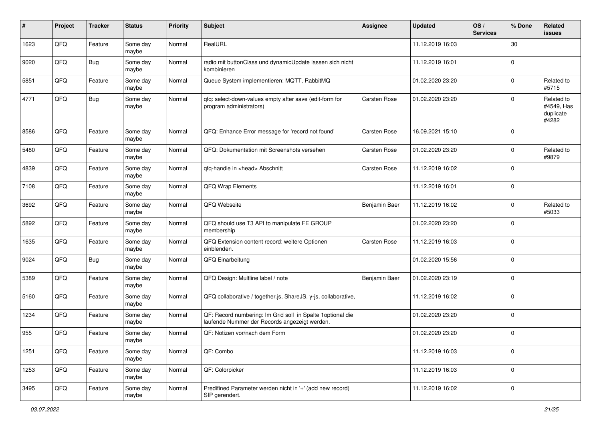| #    | Project | <b>Tracker</b> | <b>Status</b>     | <b>Priority</b> | <b>Subject</b>                                                                                              | <b>Assignee</b> | <b>Updated</b>   | OS/<br><b>Services</b> | % Done      | Related<br>issues                              |
|------|---------|----------------|-------------------|-----------------|-------------------------------------------------------------------------------------------------------------|-----------------|------------------|------------------------|-------------|------------------------------------------------|
| 1623 | QFQ     | Feature        | Some day<br>maybe | Normal          | RealURL                                                                                                     |                 | 11.12.2019 16:03 |                        | 30          |                                                |
| 9020 | QFQ     | Bug            | Some day<br>maybe | Normal          | radio mit buttonClass und dynamicUpdate lassen sich nicht<br>kombinieren                                    |                 | 11.12.2019 16:01 |                        | $\mathbf 0$ |                                                |
| 5851 | QFQ     | Feature        | Some day<br>maybe | Normal          | Queue System implementieren: MQTT, RabbitMQ                                                                 |                 | 01.02.2020 23:20 |                        | $\mathbf 0$ | Related to<br>#5715                            |
| 4771 | QFQ     | Bug            | Some day<br>maybe | Normal          | qfq: select-down-values empty after save (edit-form for<br>program administrators)                          | Carsten Rose    | 01.02.2020 23:20 |                        | $\mathbf 0$ | Related to<br>#4549, Has<br>duplicate<br>#4282 |
| 8586 | QFQ     | Feature        | Some day<br>maybe | Normal          | QFQ: Enhance Error message for 'record not found'                                                           | Carsten Rose    | 16.09.2021 15:10 |                        | $\mathbf 0$ |                                                |
| 5480 | QFQ     | Feature        | Some day<br>maybe | Normal          | QFQ: Dokumentation mit Screenshots versehen                                                                 | Carsten Rose    | 01.02.2020 23:20 |                        | 0           | Related to<br>#9879                            |
| 4839 | QFQ     | Feature        | Some day<br>maybe | Normal          | qfq-handle in <head> Abschnitt</head>                                                                       | Carsten Rose    | 11.12.2019 16:02 |                        | $\mathbf 0$ |                                                |
| 7108 | QFQ     | Feature        | Some day<br>maybe | Normal          | QFQ Wrap Elements                                                                                           |                 | 11.12.2019 16:01 |                        | $\mathbf 0$ |                                                |
| 3692 | QFQ     | Feature        | Some day<br>maybe | Normal          | QFQ Webseite                                                                                                | Benjamin Baer   | 11.12.2019 16:02 |                        | $\mathbf 0$ | Related to<br>#5033                            |
| 5892 | QFQ     | Feature        | Some day<br>maybe | Normal          | QFQ should use T3 API to manipulate FE GROUP<br>membership                                                  |                 | 01.02.2020 23:20 |                        | $\mathbf 0$ |                                                |
| 1635 | QFQ     | Feature        | Some day<br>maybe | Normal          | QFQ Extension content record: weitere Optionen<br>einblenden.                                               | Carsten Rose    | 11.12.2019 16:03 |                        | $\mathbf 0$ |                                                |
| 9024 | QFQ     | <b>Bug</b>     | Some day<br>maybe | Normal          | QFQ Einarbeitung                                                                                            |                 | 01.02.2020 15:56 |                        | $\mathbf 0$ |                                                |
| 5389 | QFQ     | Feature        | Some day<br>maybe | Normal          | QFQ Design: Multline label / note                                                                           | Benjamin Baer   | 01.02.2020 23:19 |                        | $\mathbf 0$ |                                                |
| 5160 | QFQ     | Feature        | Some day<br>maybe | Normal          | QFQ collaborative / together.js, ShareJS, y-js, collaborative,                                              |                 | 11.12.2019 16:02 |                        | $\mathbf 0$ |                                                |
| 1234 | QFQ     | Feature        | Some day<br>maybe | Normal          | QF: Record numbering: Im Grid soll in Spalte 1optional die<br>laufende Nummer der Records angezeigt werden. |                 | 01.02.2020 23:20 |                        | $\mathbf 0$ |                                                |
| 955  | QFQ     | Feature        | Some day<br>maybe | Normal          | QF: Notizen vor/nach dem Form                                                                               |                 | 01.02.2020 23:20 |                        | $\mathbf 0$ |                                                |
| 1251 | QFQ     | Feature        | Some day<br>maybe | Normal          | QF: Combo                                                                                                   |                 | 11.12.2019 16:03 |                        | $\mathbf 0$ |                                                |
| 1253 | QFQ     | Feature        | Some day<br>maybe | Normal          | QF: Colorpicker                                                                                             |                 | 11.12.2019 16:03 |                        | $\pmb{0}$   |                                                |
| 3495 | QFQ     | Feature        | Some day<br>maybe | Normal          | Predifined Parameter werden nicht in '+' (add new record)<br>SIP gerendert.                                 |                 | 11.12.2019 16:02 |                        | $\mathbf 0$ |                                                |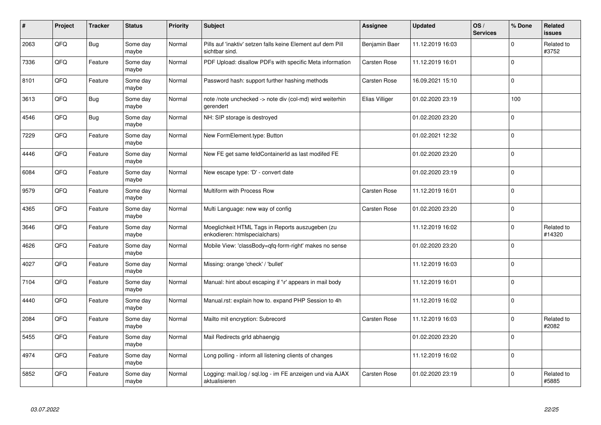| #    | Project | <b>Tracker</b> | <b>Status</b>     | <b>Priority</b> | <b>Subject</b>                                                                    | Assignee       | <b>Updated</b>   | OS/<br><b>Services</b> | % Done      | Related<br><b>issues</b> |
|------|---------|----------------|-------------------|-----------------|-----------------------------------------------------------------------------------|----------------|------------------|------------------------|-------------|--------------------------|
| 2063 | QFQ     | <b>Bug</b>     | Some day<br>maybe | Normal          | Pills auf 'inaktiv' setzen falls keine Element auf dem Pill<br>sichtbar sind.     | Benjamin Baer  | 11.12.2019 16:03 |                        | $\Omega$    | Related to<br>#3752      |
| 7336 | QFQ     | Feature        | Some day<br>maybe | Normal          | PDF Upload: disallow PDFs with specific Meta information                          | Carsten Rose   | 11.12.2019 16:01 |                        | $\Omega$    |                          |
| 8101 | QFQ     | Feature        | Some day<br>maybe | Normal          | Password hash: support further hashing methods                                    | Carsten Rose   | 16.09.2021 15:10 |                        | $\mathbf 0$ |                          |
| 3613 | QFQ     | <b>Bug</b>     | Some day<br>maybe | Normal          | note /note unchecked -> note div (col-md) wird weiterhin<br>gerendert             | Elias Villiger | 01.02.2020 23:19 |                        | 100         |                          |
| 4546 | QFQ     | <b>Bug</b>     | Some day<br>maybe | Normal          | NH: SIP storage is destroyed                                                      |                | 01.02.2020 23:20 |                        | $\mathbf 0$ |                          |
| 7229 | QFQ     | Feature        | Some day<br>maybe | Normal          | New FormElement.type: Button                                                      |                | 01.02.2021 12:32 |                        | $\mathbf 0$ |                          |
| 4446 | QFQ     | Feature        | Some day<br>maybe | Normal          | New FE get same feldContainerId as last modifed FE                                |                | 01.02.2020 23:20 |                        | $\mathbf 0$ |                          |
| 6084 | QFQ     | Feature        | Some day<br>maybe | Normal          | New escape type: 'D' - convert date                                               |                | 01.02.2020 23:19 |                        | $\mathbf 0$ |                          |
| 9579 | QFQ     | Feature        | Some day<br>maybe | Normal          | Multiform with Process Row                                                        | Carsten Rose   | 11.12.2019 16:01 |                        | $\Omega$    |                          |
| 4365 | QFQ     | Feature        | Some day<br>maybe | Normal          | Multi Language: new way of config                                                 | Carsten Rose   | 01.02.2020 23:20 |                        | $\mathbf 0$ |                          |
| 3646 | QFQ     | Feature        | Some day<br>maybe | Normal          | Moeglichkeit HTML Tags in Reports auszugeben (zu<br>enkodieren: htmlspecialchars) |                | 11.12.2019 16:02 |                        | $\mathbf 0$ | Related to<br>#14320     |
| 4626 | QFQ     | Feature        | Some day<br>maybe | Normal          | Mobile View: 'classBody=qfq-form-right' makes no sense                            |                | 01.02.2020 23:20 |                        | $\mathbf 0$ |                          |
| 4027 | QFQ     | Feature        | Some day<br>maybe | Normal          | Missing: orange 'check' / 'bullet'                                                |                | 11.12.2019 16:03 |                        | $\mathbf 0$ |                          |
| 7104 | QFQ     | Feature        | Some day<br>maybe | Normal          | Manual: hint about escaping if '\r' appears in mail body                          |                | 11.12.2019 16:01 |                        | $\mathbf 0$ |                          |
| 4440 | QFQ     | Feature        | Some day<br>maybe | Normal          | Manual.rst: explain how to. expand PHP Session to 4h                              |                | 11.12.2019 16:02 |                        | $\mathbf 0$ |                          |
| 2084 | QFQ     | Feature        | Some day<br>maybe | Normal          | Mailto mit encryption: Subrecord                                                  | Carsten Rose   | 11.12.2019 16:03 |                        | $\mathbf 0$ | Related to<br>#2082      |
| 5455 | QFQ     | Feature        | Some day<br>maybe | Normal          | Mail Redirects grld abhaengig                                                     |                | 01.02.2020 23:20 |                        | $\Omega$    |                          |
| 4974 | QFQ     | Feature        | Some day<br>maybe | Normal          | Long polling - inform all listening clients of changes                            |                | 11.12.2019 16:02 |                        | $\mathbf 0$ |                          |
| 5852 | QFQ     | Feature        | Some day<br>maybe | Normal          | Logging: mail.log / sql.log - im FE anzeigen und via AJAX<br>aktualisieren        | Carsten Rose   | 01.02.2020 23:19 |                        | $\Omega$    | Related to<br>#5885      |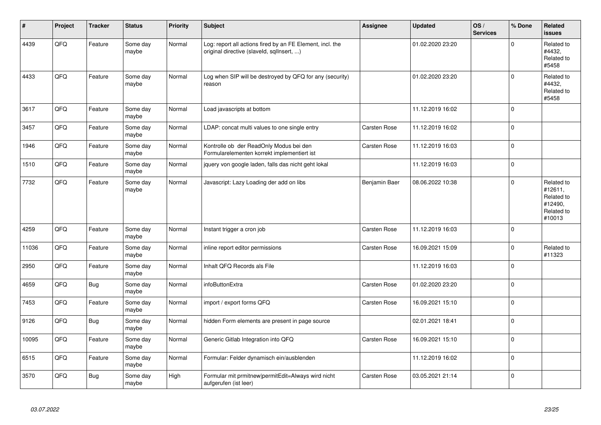| ∦     | Project | <b>Tracker</b> | <b>Status</b>     | <b>Priority</b> | <b>Subject</b>                                                                                         | Assignee      | <b>Updated</b>   | OS/<br><b>Services</b> | % Done      | Related<br><b>issues</b>                                               |
|-------|---------|----------------|-------------------|-----------------|--------------------------------------------------------------------------------------------------------|---------------|------------------|------------------------|-------------|------------------------------------------------------------------------|
| 4439  | QFQ     | Feature        | Some day<br>maybe | Normal          | Log: report all actions fired by an FE Element, incl. the<br>original directive (slaveld, sqllnsert, ) |               | 01.02.2020 23:20 |                        | $\Omega$    | Related to<br>#4432,<br>Related to<br>#5458                            |
| 4433  | QFQ     | Feature        | Some day<br>maybe | Normal          | Log when SIP will be destroyed by QFQ for any (security)<br>reason                                     |               | 01.02.2020 23:20 |                        | $\Omega$    | Related to<br>#4432,<br>Related to<br>#5458                            |
| 3617  | QFQ     | Feature        | Some day<br>maybe | Normal          | Load javascripts at bottom                                                                             |               | 11.12.2019 16:02 |                        | $\mathbf 0$ |                                                                        |
| 3457  | QFQ     | Feature        | Some day<br>maybe | Normal          | LDAP: concat multi values to one single entry                                                          | Carsten Rose  | 11.12.2019 16:02 |                        | $\Omega$    |                                                                        |
| 1946  | QFQ     | Feature        | Some day<br>maybe | Normal          | Kontrolle ob der ReadOnly Modus bei den<br>Formularelementen korrekt implementiert ist                 | Carsten Rose  | 11.12.2019 16:03 |                        | $\mathbf 0$ |                                                                        |
| 1510  | QFQ     | Feature        | Some day<br>maybe | Normal          | jquery von google laden, falls das nicht geht lokal                                                    |               | 11.12.2019 16:03 |                        | $\Omega$    |                                                                        |
| 7732  | QFQ     | Feature        | Some day<br>maybe | Normal          | Javascript: Lazy Loading der add on libs                                                               | Benjamin Baer | 08.06.2022 10:38 |                        | $\Omega$    | Related to<br>#12611,<br>Related to<br>#12490,<br>Related to<br>#10013 |
| 4259  | QFQ     | Feature        | Some day<br>maybe | Normal          | Instant trigger a cron job                                                                             | Carsten Rose  | 11.12.2019 16:03 |                        | $\Omega$    |                                                                        |
| 11036 | QFQ     | Feature        | Some day<br>maybe | Normal          | inline report editor permissions                                                                       | Carsten Rose  | 16.09.2021 15:09 |                        | $\Omega$    | Related to<br>#11323                                                   |
| 2950  | QFQ     | Feature        | Some day<br>maybe | Normal          | Inhalt QFQ Records als File                                                                            |               | 11.12.2019 16:03 |                        | $\Omega$    |                                                                        |
| 4659  | QFQ     | <b>Bug</b>     | Some day<br>maybe | Normal          | infoButtonExtra                                                                                        | Carsten Rose  | 01.02.2020 23:20 |                        | 0           |                                                                        |
| 7453  | QFQ     | Feature        | Some day<br>maybe | Normal          | import / export forms QFQ                                                                              | Carsten Rose  | 16.09.2021 15:10 |                        | $\Omega$    |                                                                        |
| 9126  | QFQ     | <b>Bug</b>     | Some day<br>maybe | Normal          | hidden Form elements are present in page source                                                        |               | 02.01.2021 18:41 |                        | $\Omega$    |                                                                        |
| 10095 | QFQ     | Feature        | Some day<br>maybe | Normal          | Generic Gitlab Integration into QFQ                                                                    | Carsten Rose  | 16.09.2021 15:10 |                        | $\Omega$    |                                                                        |
| 6515  | QFQ     | Feature        | Some day<br>maybe | Normal          | Formular: Felder dynamisch ein/ausblenden                                                              |               | 11.12.2019 16:02 |                        | $\Omega$    |                                                                        |
| 3570  | QFQ     | Bug            | Some day<br>maybe | High            | Formular mit prmitnew permitEdit=Always wird nicht<br>aufgerufen (ist leer)                            | Carsten Rose  | 03.05.2021 21:14 |                        | $\mathbf 0$ |                                                                        |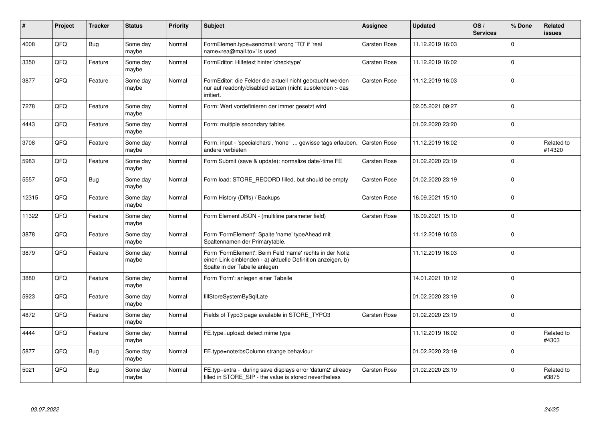| ∦     | Project | <b>Tracker</b> | <b>Status</b>     | <b>Priority</b> | <b>Subject</b>                                                                                                                                           | Assignee            | <b>Updated</b>   | OS/<br><b>Services</b> | % Done      | Related<br>issues    |
|-------|---------|----------------|-------------------|-----------------|----------------------------------------------------------------------------------------------------------------------------------------------------------|---------------------|------------------|------------------------|-------------|----------------------|
| 4008  | QFQ     | <b>Bug</b>     | Some day<br>maybe | Normal          | FormElemen.type=sendmail: wrong 'TO' if 'real<br>name <rea@mail.to>' is used</rea@mail.to>                                                               | Carsten Rose        | 11.12.2019 16:03 |                        | $\Omega$    |                      |
| 3350  | QFQ     | Feature        | Some day<br>maybe | Normal          | FormEditor: Hilfetext hinter 'checktype'                                                                                                                 | Carsten Rose        | 11.12.2019 16:02 |                        | $\Omega$    |                      |
| 3877  | QFQ     | Feature        | Some day<br>maybe | Normal          | FormEditor: die Felder die aktuell nicht gebraucht werden<br>nur auf readonly/disabled setzen (nicht ausblenden > das<br>irritiert.                      | Carsten Rose        | 11.12.2019 16:03 |                        | $\Omega$    |                      |
| 7278  | QFQ     | Feature        | Some day<br>maybe | Normal          | Form: Wert vordefinieren der immer gesetzt wird                                                                                                          |                     | 02.05.2021 09:27 |                        | $\Omega$    |                      |
| 4443  | QFQ     | Feature        | Some day<br>maybe | Normal          | Form: multiple secondary tables                                                                                                                          |                     | 01.02.2020 23:20 |                        | $\mathbf 0$ |                      |
| 3708  | QFQ     | Feature        | Some day<br>maybe | Normal          | Form: input - 'specialchars', 'none'  gewisse tags erlauben,<br>andere verbieten                                                                         | Carsten Rose        | 11.12.2019 16:02 |                        | $\Omega$    | Related to<br>#14320 |
| 5983  | QFQ     | Feature        | Some day<br>maybe | Normal          | Form Submit (save & update): normalize date/-time FE                                                                                                     | Carsten Rose        | 01.02.2020 23:19 |                        | $\Omega$    |                      |
| 5557  | QFQ     | <b>Bug</b>     | Some day<br>maybe | Normal          | Form load: STORE_RECORD filled, but should be empty                                                                                                      | Carsten Rose        | 01.02.2020 23:19 |                        | $\Omega$    |                      |
| 12315 | QFQ     | Feature        | Some day<br>maybe | Normal          | Form History (Diffs) / Backups                                                                                                                           | Carsten Rose        | 16.09.2021 15:10 |                        | $\Omega$    |                      |
| 11322 | QFQ     | Feature        | Some day<br>maybe | Normal          | Form Element JSON - (multiline parameter field)                                                                                                          | Carsten Rose        | 16.09.2021 15:10 |                        | $\Omega$    |                      |
| 3878  | QFQ     | Feature        | Some day<br>maybe | Normal          | Form 'FormElement': Spalte 'name' typeAhead mit<br>Spaltennamen der Primarytable.                                                                        |                     | 11.12.2019 16:03 |                        | $\Omega$    |                      |
| 3879  | QFQ     | Feature        | Some day<br>maybe | Normal          | Form 'FormElement': Beim Feld 'name' rechts in der Notiz<br>einen Link einblenden - a) aktuelle Definition anzeigen, b)<br>Spalte in der Tabelle anlegen |                     | 11.12.2019 16:03 |                        | $\Omega$    |                      |
| 3880  | QFQ     | Feature        | Some day<br>maybe | Normal          | Form 'Form': anlegen einer Tabelle                                                                                                                       |                     | 14.01.2021 10:12 |                        | $\Omega$    |                      |
| 5923  | QFQ     | Feature        | Some day<br>maybe | Normal          | fillStoreSystemBySqlLate                                                                                                                                 |                     | 01.02.2020 23:19 |                        | $\Omega$    |                      |
| 4872  | QFQ     | Feature        | Some day<br>maybe | Normal          | Fields of Typo3 page available in STORE_TYPO3                                                                                                            | Carsten Rose        | 01.02.2020 23:19 |                        | $\Omega$    |                      |
| 4444  | QFQ     | Feature        | Some day<br>maybe | Normal          | FE.type=upload: detect mime type                                                                                                                         |                     | 11.12.2019 16:02 |                        | $\Omega$    | Related to<br>#4303  |
| 5877  | QFQ     | Bug            | Some day<br>maybe | Normal          | FE.type=note:bsColumn strange behaviour                                                                                                                  |                     | 01.02.2020 23:19 |                        | $\Omega$    |                      |
| 5021  | QFQ     | Bug            | Some day<br>maybe | Normal          | FE.typ=extra - during save displays error 'datum2' already<br>filled in STORE_SIP - the value is stored nevertheless                                     | <b>Carsten Rose</b> | 01.02.2020 23:19 |                        | $\Omega$    | Related to<br>#3875  |